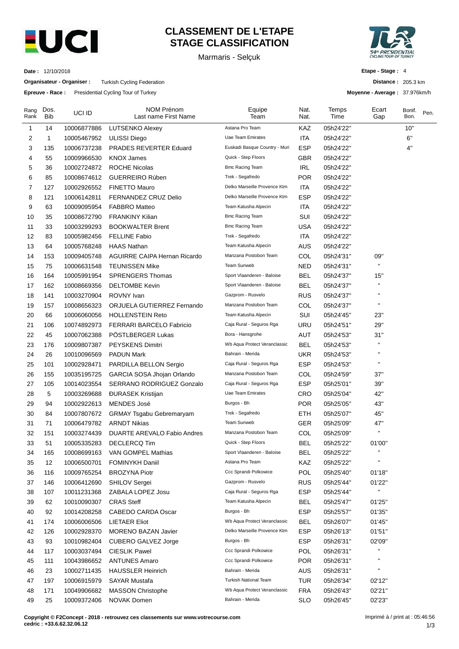

# **CLASSEMENT DE L'ETAPE STAGE CLASSIFICATION**

Marmaris - Selçuk



**Distance :** 205.3 km **Moyenne - Average :** 37.976km/h

**Etape - Stage :** 4

**Date :** 12/10/2018

**Organisateur - Organiser :** Turkish Cycling Federation

**Epreuve - Race :** Presidential Cycling Tour of Turkey

| Rang<br>Rank | Dos.<br><b>Bib</b> | UCI ID      | <b>NOM Prénom</b><br>Last name First Name | Equipe<br>Team                | Nat.<br>Nat. | Temps<br>Time | Ecart<br>Gap       | Bonif.<br>Bon. | Pen. |
|--------------|--------------------|-------------|-------------------------------------------|-------------------------------|--------------|---------------|--------------------|----------------|------|
| 1            | 14                 | 10006877886 | <b>LUTSENKO Alexey</b>                    | Astana Pro Team               | KAZ          | 05h24'22"     |                    | 10"            |      |
| 2            | 1                  | 10005467952 | ULISSI Diego                              | Uae Team Emirates             | ITA          | 05h24'22"     |                    | 6"             |      |
| 3            | 135                | 10006737238 | PRADES REVERTER Eduard                    | Euskadi Basque Country - Muri | <b>ESP</b>   | 05h24'22"     |                    | 4"             |      |
| 4            | 55                 | 10009966530 | <b>KNOX James</b>                         | Quick - Step Floors           | GBR          | 05h24'22"     |                    |                |      |
| 5            | 36                 | 10002724872 | <b>ROCHE Nicolas</b>                      | <b>Bmc Racing Team</b>        | <b>IRL</b>   | 05h24'22"     |                    |                |      |
| 6            | 85                 | 10008674612 | <b>GUERREIRO Rúben</b>                    | Trek - Segafredo              | <b>POR</b>   | 05h24'22"     |                    |                |      |
| 7            | 127                | 10002926552 | <b>FINETTO Mauro</b>                      | Delko Marseille Provence Ktm  | ITA          | 05h24'22"     |                    |                |      |
| 8            | 121                | 10006142811 | FERNANDEZ CRUZ Delio                      | Delko Marseille Provence Ktm  | ESP          | 05h24'22"     |                    |                |      |
| 9            | 63                 | 10009095954 | <b>FABBRO Matteo</b>                      | Team Katusha Alpecin          | <b>ITA</b>   | 05h24'22"     |                    |                |      |
| 10           | 35                 | 10008672790 | <b>FRANKINY Kilian</b>                    | <b>Bmc Racing Team</b>        | SUI          | 05h24'22"     |                    |                |      |
| 11           | 33                 | 10003299293 | <b>BOOKWALTER Brent</b>                   | <b>Bmc Racing Team</b>        | <b>USA</b>   | 05h24'22"     |                    |                |      |
| 12           | 83                 | 10005982456 | <b>FELLINE Fabio</b>                      | Trek - Segafredo              | ITA          | 05h24'22"     |                    |                |      |
| 13           | 64                 | 10005768248 | <b>HAAS Nathan</b>                        | Team Katusha Alpecin          | <b>AUS</b>   | 05h24'22"     |                    |                |      |
| 14           | 153                | 10009405748 | <b>AGUIRRE CAIPA Hernan Ricardo</b>       | Manzana Postobon Team         | COL          | 05h24'31"     | 09"                |                |      |
| 15           | 75                 | 10006631548 | <b>TEUNISSEN Mike</b>                     | Team Sunweb                   | NED          | 05h24'31"     | $\blacksquare$     |                |      |
| 16           | 164                | 10005991954 | <b>SPRENGERS Thomas</b>                   | Sport Vlaanderen - Baloise    | <b>BEL</b>   | 05h24'37"     | 15"                |                |      |
| 17           | 162                | 10008669356 | <b>DELTOMBE Kevin</b>                     | Sport Vlaanderen - Baloise    | <b>BEL</b>   | 05h24'37"     | $\pmb{\mathsf{H}}$ |                |      |
| 18           | 141                | 10003270904 | ROVNY Ivan                                | Gazprom - Rusvelo             | <b>RUS</b>   | 05h24'37"     | $\blacksquare$     |                |      |
| 19           | 157                | 10008656323 | ORJUELA GUTIERREZ Fernando                | Manzana Postobon Team         | COL          | 05h24'37"     | $\blacksquare$     |                |      |
| 20           | 66                 | 10006060056 | <b>HOLLENSTEIN Reto</b>                   | Team Katusha Alpecin          | SUI          | 05h24'45"     | 23"                |                |      |
| 21           | 106                | 10074892973 | <b>FERRARI BARCELO Fabricio</b>           | Caja Rural - Seguros Rga      | URU          | 05h24'51"     | 29"                |                |      |
| 22           | 45                 | 10007062388 | PÖSTLBERGER Lukas                         | Bora - Hansgrohe              | <b>AUT</b>   | 05h24'53"     | 31"                |                |      |
| 23           | 176                | 10009807387 | PEYSKENS Dimitri                          | Wb Aqua Protect Veranclassic  | <b>BEL</b>   | 05h24'53"     | $\pmb{\mathsf{H}}$ |                |      |
| 24           | 26                 | 10010096569 | <b>PADUN Mark</b>                         | Bahrain - Merida              | <b>UKR</b>   | 05h24'53"     | $\blacksquare$     |                |      |
| 25           | 101                | 10002928471 | PARDILLA BELLON Sergio                    | Caja Rural - Seguros Rga      | <b>ESP</b>   | 05h24'53"     | $\pmb{\mathsf{H}}$ |                |      |
| 26           | 155                | 10035195725 | GARCIA SOSA Jhojan Orlando                | Manzana Postobon Team         | COL          | 05h24'59"     | 37"                |                |      |
| 27           | 105                | 10014023554 | SERRANO RODRIGUEZ Gonzalo                 | Caja Rural - Seguros Rga      | <b>ESP</b>   | 05h25'01"     | 39"                |                |      |
| 28           | 5                  | 10003269688 | <b>ĐURASEK Kristijan</b>                  | Uae Team Emirates             | CRO          | 05h25'04"     | 42"                |                |      |
| 29           | 94                 | 10002922613 | <b>MENDES José</b>                        | Burgos - Bh                   | <b>POR</b>   | 05h25'05"     | 43"                |                |      |
| 30           | 84                 | 10007807672 | <b>GRMAY Tsgabu Gebremaryam</b>           | Trek - Segafredo              | ETH          | 05h25'07"     | 45"                |                |      |
| 31           | 71                 | 10006479782 | <b>ARNDT Nikias</b>                       | <b>Team Sunweb</b>            | GER          | 05h25'09"     | 47"                |                |      |
| 32           | 151                | 10003274439 | DUARTE AREVALO Fabio Andres               | Manzana Postobon Team         | COL          | 05h25'09"     | $\mathbf{H}$       |                |      |
| 33           | 51                 | 10005335283 | <b>DECLERCQ Tim</b>                       | Quick - Step Floors           | <b>BEL</b>   | 05h25'22"     | 01'00"             |                |      |
| 34           | 165                | 10008699163 | VAN GOMPEL Mathias                        | Sport Vlaanderen - Baloise    | <b>BEL</b>   | 05h25'22"     | $\blacksquare$     |                |      |
| 35           | 12                 | 10006500701 | <b>FOMINYKH Daniil</b>                    | Astana Pro Team               | KAZ          | 05h25'22"     | п                  |                |      |
| 36           | 116                | 10009765254 | <b>BROZYNA Piotr</b>                      | Ccc Sprandi Polkowice         | POL          | 05h25'40"     | 01'18"             |                |      |
| 37           | 146                | 10006412690 | SHILOV Sergei                             | Gazprom - Rusvelo             | <b>RUS</b>   | 05h25'44"     | 01'22"             |                |      |
| 38           | 107                | 10011231368 | ZABALA LOPEZ Josu                         | Caja Rural - Seguros Rga      | <b>ESP</b>   | 05h25'44"     |                    |                |      |
| 39           | 62                 | 10010090307 | <b>CRAS Steff</b>                         | Team Katusha Alpecin          | <b>BEL</b>   | 05h25'47"     | 01'25"             |                |      |
| 40           | 92                 | 10014208258 | CABEDO CARDA Oscar                        | Burgos - Bh                   | ESP          | 05h25'57"     | 01'35"             |                |      |
| 41           | 174                | 10006006506 | <b>LIETAER Eliot</b>                      | Wb Aqua Protect Veranclassic  | <b>BEL</b>   | 05h26'07"     | 01'45"             |                |      |
| 42           | 126                | 10002928370 | <b>MORENO BAZAN Javier</b>                | Delko Marseille Provence Ktm  | <b>ESP</b>   | 05h26'13"     | 01'51"             |                |      |
| 43           | 93                 | 10010982404 | <b>CUBERO GALVEZ Jorge</b>                | Burgos - Bh                   | <b>ESP</b>   | 05h26'31"     | 02'09"             |                |      |
| 44           | 117                | 10003037494 | <b>CIESLIK Pawel</b>                      | Ccc Sprandi Polkowice         | POL          | 05h26'31"     | П                  |                |      |
| 45           | 111                | 10043986652 | <b>ANTUNES Amaro</b>                      | Ccc Sprandi Polkowice         | <b>POR</b>   | 05h26'31"     | п                  |                |      |
| 46           | 23                 | 10002711435 | <b>HAUSSLER Heinrich</b>                  | Bahrain - Merida              | <b>AUS</b>   | 05h26'31"     | $\blacksquare$     |                |      |
| 47           | 197                | 10006915979 | <b>SAYAR Mustafa</b>                      | Turkish National Team         | <b>TUR</b>   | 05h26'34"     | 02'12"             |                |      |
| 48           | 171                | 10049906682 | <b>MASSON Christophe</b>                  | Wb Aqua Protect Veranclassic  | <b>FRA</b>   | 05h26'43"     | 02'21"             |                |      |
| 49           | 25                 | 10009372406 | NOVAK Domen                               | Bahrain - Merida              | <b>SLO</b>   | 05h26'45"     | 02'23"             |                |      |

**Copyright © F2Concept - 2018 - retrouvez ces classements sur www.votrecourse.com cedric : +33.6.62.32.06.12**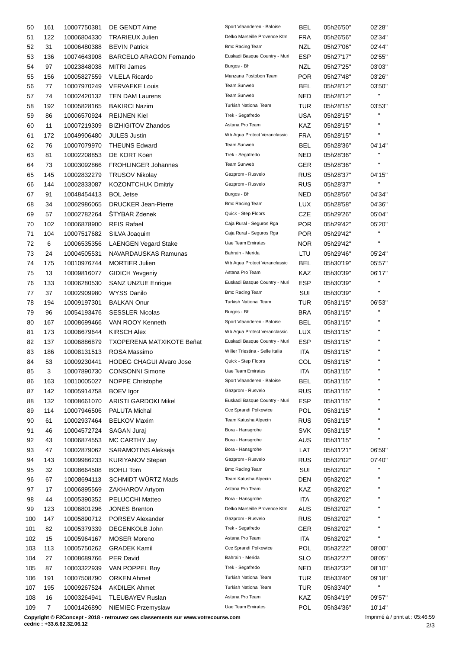| 50  | 161 | 10007750381 | DE GENDT Aime                    | Sport Vlaanderen - Baloise      | BEL        | 05h26'50" | 02'28"                 |
|-----|-----|-------------|----------------------------------|---------------------------------|------------|-----------|------------------------|
| 51  | 122 | 10006804330 | <b>TRARIEUX Julien</b>           | Delko Marseille Provence Ktm    | <b>FRA</b> | 05h26'56" | 02'34"                 |
| 52  | 31  | 10006480388 | <b>BEVIN Patrick</b>             | <b>Bmc Racing Team</b>          | <b>NZL</b> | 05h27'06" | 02'44"                 |
| 53  | 136 | 10074643908 | <b>BARCELO ARAGON Fernando</b>   | Euskadi Basque Country - Muri   | <b>ESP</b> | 05h27'17" | 02'55"                 |
| 54  | 97  | 10023848038 | <b>MITRI James</b>               | Burgos - Bh                     | NZL        | 05h27'25" | 03'03"                 |
| 55  | 156 | 10005827559 | <b>VILELA Ricardo</b>            | Manzana Postobon Team           | <b>POR</b> | 05h27'48" | 03'26"                 |
| 56  | 77  | 10007970249 | <b>VERVAEKE Louis</b>            | Team Sunweb                     | BEL        | 05h28'12" | 03'50"                 |
| 57  | 74  | 10002420132 | <b>TEN DAM Laurens</b>           | Team Sunweb                     | <b>NED</b> | 05h28'12" | $\mathbf{H}$           |
| 58  | 192 | 10005828165 | <b>BAKIRCI Nazim</b>             | Turkish National Team           | TUR        | 05h28'15" | 03'53"                 |
| 59  | 86  | 10006570924 | <b>REIJNEN Kiel</b>              | Trek - Segafredo                | <b>USA</b> | 05h28'15" | $\mathbf{H}$           |
| 60  | 11  | 10007219309 | <b>BIZHIGITOV Zhandos</b>        | Astana Pro Team                 | KAZ        | 05h28'15" | $\mathbf{H}$           |
| 61  | 172 | 10049906480 | <b>JULES Justin</b>              | Wb Aqua Protect Veranclassic    | <b>FRA</b> | 05h28'15" | $\mathbf{H}$           |
| 62  | 76  | 10007079970 | <b>THEUNS Edward</b>             | Team Sunweb                     | BEL        | 05h28'36" | 04'14"                 |
| 63  | 81  | 10002208853 | DE KORT Koen                     | Trek - Segafredo                | <b>NED</b> | 05h28'36" | $\mathbf{H}$           |
| 64  | 73  | 10003092866 | <b>FROHLINGER Johannes</b>       | Team Sunweb                     | <b>GER</b> | 05h28'36" | $\mathbf{H}$           |
| 65  | 145 | 10002832279 | <b>TRUSOV Nikolay</b>            | Gazprom - Rusvelo               | <b>RUS</b> | 05h28'37" | 04'15"                 |
| 66  | 144 | 10002833087 | <b>KOZONTCHUK Dmitriy</b>        | Gazprom - Rusvelo               | <b>RUS</b> | 05h28'37" | п                      |
|     | 91  |             | <b>BOL Jetse</b>                 | Burgos - Bh                     | <b>NED</b> | 05h28'56" |                        |
| 67  |     | 10048454413 |                                  | <b>Bmc Racing Team</b>          |            |           | 04'34"                 |
| 68  | 34  | 10002986065 | <b>DRUCKER Jean-Pierre</b>       | Quick - Step Floors             | LUX        | 05h28'58" | 04'36"                 |
| 69  | 57  | 10002782264 | ŠTYBAR Zdenek                    |                                 | <b>CZE</b> | 05h29'26" | 05'04"                 |
| 70  | 102 | 10006878900 | <b>REIS Rafael</b>               | Caja Rural - Seguros Rga        | <b>POR</b> | 05h29'42" | 05'20"<br>$\mathbf{H}$ |
| 71  | 104 | 10007517682 | SILVA Joaquim                    | Caja Rural - Seguros Rga        | <b>POR</b> | 05h29'42" | $\mathbf{H}$           |
| 72  | 6   | 10006535356 | <b>LAENGEN Vegard Stake</b>      | <b>Uae Team Emirates</b>        | <b>NOR</b> | 05h29'42" |                        |
| 73  | 24  | 10004505531 | NAVARDAUSKAS Ramunas             | Bahrain - Merida                | LTU        | 05h29'46" | 05'24"                 |
| 74  | 175 | 10010976744 | <b>MORTIER Julien</b>            | Wb Aqua Protect Veranclassic    | <b>BEL</b> | 05h30'19" | 05'57"                 |
| 75  | 13  | 10009816077 | <b>GIDICH Yevgeniy</b>           | Astana Pro Team                 | KAZ        | 05h30'39" | 06'17"                 |
| 76  | 133 | 10006280530 | <b>SANZ UNZUE Enrique</b>        | Euskadi Basque Country - Muri   | <b>ESP</b> | 05h30'39" | $\mathbf{H}$           |
| 77  | 37  | 10002909980 | WYSS Danilo                      | <b>Bmc Racing Team</b>          | SUI        | 05h30'39" | $\mathbf{H}$           |
| 78  | 194 | 10009197301 | <b>BALKAN Onur</b>               | <b>Turkish National Team</b>    | TUR        | 05h31'15" | 06'53"                 |
| 79  | 96  | 10054193476 | <b>SESSLER Nicolas</b>           | Burgos - Bh                     | <b>BRA</b> | 05h31'15" | $\mathbf{H}$           |
| 80  | 167 | 10008699466 | VAN ROOY Kenneth                 | Sport Vlaanderen - Baloise      | BEL        | 05h31'15" | $\mathbf{H}$           |
| 81  | 173 | 10006679644 | <b>KIRSCH Alex</b>               | Wb Aqua Protect Veranclassic    | LUX        | 05h31'15" | $\blacksquare$         |
| 82  | 137 | 10006886879 | <b>TXOPERENA MATXIKOTE Beñat</b> | Euskadi Basque Country - Muri   | <b>ESP</b> | 05h31'15" | $\blacksquare$         |
| 83  | 186 | 10008131513 | ROSA Massimo                     | Wilier Triestina - Selle Italia | ITA        | 05h31'15" | $\mathbf{H}$           |
| 84  | 53  | 10009230441 | <b>HODEG CHAGUI Alvaro Jose</b>  | Quick - Step Floors             | COL        | 05h31'15" | $\blacksquare$         |
| 85  | 3   |             | 10007890730 CONSONNI Simone      | Uae Team Emirates               | <b>ITA</b> | 05h31'15" |                        |
| 86  | 163 | 10010005027 | NOPPE Christophe                 | Sport Vlaanderen - Baloise      | <b>BEL</b> | 05h31'15" | $\blacksquare$         |
| 87  | 142 | 10005914758 | <b>BOEV</b> Igor                 | Gazprom - Rusvelo               | <b>RUS</b> | 05h31'15" |                        |
| 88  | 132 | 10008661070 | ARISTI GARDOKI Mikel             | Euskadi Basque Country - Muri   | <b>ESP</b> | 05h31'15" |                        |
| 89  | 114 | 10007946506 | <b>PALUTA Michal</b>             | Ccc Sprandi Polkowice           | POL        | 05h31'15" | $\blacksquare$         |
| 90  | 61  | 10002937464 | <b>BELKOV Maxim</b>              | Team Katusha Alpecin            | <b>RUS</b> | 05h31'15" | $\mathbf{H}$           |
| 91  | 46  | 10004572724 | SAGAN Juraj                      | Bora - Hansgrohe                | <b>SVK</b> | 05h31'15" |                        |
| 92  | 43  | 10006874553 | MC CARTHY Jay                    | Bora - Hansgrohe                | AUS        | 05h31'15" | $\blacksquare$         |
| 93  | 47  | 10002879062 | <b>SARAMOTINS Alekseis</b>       | Bora - Hansgrohe                | LAT        | 05h31'21" | 06'59"                 |
| 94  | 143 | 10009986233 | <b>KURIYANOV Stepan</b>          | Gazprom - Rusvelo               | <b>RUS</b> | 05h32'02" | 07'40"                 |
| 95  | 32  | 10008664508 | <b>BOHLI Tom</b>                 | <b>Bmc Racing Team</b>          | SUI        | 05h32'02" |                        |
| 96  | 67  | 10008694113 | <b>SCHMIDT WÜRTZ Mads</b>        | Team Katusha Alpecin            | <b>DEN</b> | 05h32'02" | н                      |
| 97  | 17  | 10006895569 | ZAKHAROV Artyom                  | Astana Pro Team                 | KAZ        | 05h32'02" | п                      |
| 98  | 44  | 10005390352 | PELUCCHI Matteo                  | Bora - Hansgrohe                | ITA        | 05h32'02" |                        |
| 99  | 123 | 10006801296 | <b>JONES Brenton</b>             | Delko Marseille Provence Ktm    | <b>AUS</b> | 05h32'02" |                        |
| 100 | 147 | 10005890712 | PORSEV Alexander                 | Gazprom - Rusvelo               | <b>RUS</b> | 05h32'02" | $\blacksquare$         |
| 101 | 82  | 10005379339 | DEGENKOLB John                   | Trek - Segafredo                | GER        | 05h32'02" |                        |
| 102 | 15  | 10005964167 | <b>MOSER Moreno</b>              | Astana Pro Team                 | <b>ITA</b> | 05h32'02" | $\blacksquare$         |
| 103 | 113 | 10005750262 | <b>GRADEK Kamil</b>              | Ccc Sprandi Polkowice           | POL        | 05h32'22" | 08'00"                 |
| 104 | 27  | 10008689766 | <b>PER David</b>                 | Bahrain - Merida                | <b>SLO</b> | 05h32'27" | 08'05"                 |
| 105 | 87  | 10003322939 | VAN POPPEL Boy                   | Trek - Segafredo                | <b>NED</b> | 05h32'32" | 08'10"                 |
| 106 | 191 | 10007508790 | <b>ORKEN Ahmet</b>               | <b>Turkish National Team</b>    | <b>TUR</b> | 05h33'40" | 09'18"                 |
| 107 | 195 | 10009267524 | <b>AKDILEK Ahmet</b>             | Turkish National Team           | <b>TUR</b> | 05h33'40" | П                      |
| 108 | 16  | 10003264941 | TLEUBAYEV Ruslan                 | Astana Pro Team                 | KAZ        | 05h34'19" | 09'57"                 |
| 109 | 7   | 10001426890 | NIEMIEC Przemyslaw               | Uae Team Emirates               | POL        | 05h34'36" | 10'14"                 |
|     |     |             |                                  |                                 |            |           |                        |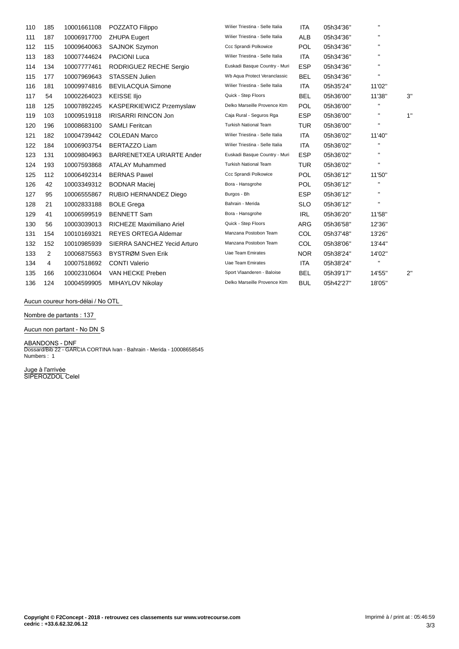| 110 | 185            | 10001661108 | POZZATO Filippo              | Wilier Triestina - Selle Italia | <b>ITA</b> | 05h34'36" | $\mathbf{H}$ |    |
|-----|----------------|-------------|------------------------------|---------------------------------|------------|-----------|--------------|----|
| 111 | 187            | 10006917700 | <b>ZHUPA Eugert</b>          | Wilier Triestina - Selle Italia | <b>ALB</b> | 05h34'36" | $\mathbf{H}$ |    |
| 112 | 115            | 10009640063 | <b>SAJNOK Szymon</b>         | Ccc Sprandi Polkowice           | <b>POL</b> | 05h34'36" |              |    |
| 113 | 183            | 10007744624 | <b>PACIONI Luca</b>          | Wilier Triestina - Selle Italia | <b>ITA</b> | 05h34'36" |              |    |
| 114 | 134            | 10007777461 | RODRIGUEZ RECHE Sergio       | Euskadi Basque Country - Muri   | <b>ESP</b> | 05h34'36" | $\mathbf{H}$ |    |
| 115 | 177            | 10007969643 | <b>STASSEN Julien</b>        | Wb Aqua Protect Veranclassic    | <b>BEL</b> | 05h34'36" | $\mathbf{H}$ |    |
| 116 | 181            | 10009974816 | <b>BEVILACQUA Simone</b>     | Wilier Triestina - Selle Italia | <b>ITA</b> | 05h35'24" | 11'02"       |    |
| 117 | 54             | 10002264023 | <b>KEISSE Iljo</b>           | Quick - Step Floors             | <b>BEL</b> | 05h36'00" | 11'38"       | 3" |
| 118 | 125            | 10007892245 | KASPERKIEWICZ Przemyslaw     | Delko Marseille Provence Ktm    | POL        | 05h36'00" |              |    |
| 119 | 103            | 10009519118 | <b>IRISARRI RINCON Jon</b>   | Caja Rural - Seguros Rga        | <b>ESP</b> | 05h36'00" | $\mathbf{H}$ | 1" |
| 120 | 196            | 10008683100 | <b>SAMLI Feritcan</b>        | <b>Turkish National Team</b>    | <b>TUR</b> | 05h36'00" | $\mathbf{H}$ |    |
| 121 | 182            | 10004739442 | <b>COLEDAN Marco</b>         | Wilier Triestina - Selle Italia | <b>ITA</b> | 05h36'02" | 11'40"       |    |
| 122 | 184            | 10006903754 | <b>BERTAZZO Liam</b>         | Wilier Triestina - Selle Italia | <b>ITA</b> | 05h36'02" | $\mathbf{H}$ |    |
| 123 | 131            | 10009804963 | BARRENETXEA URIARTE Ander    | Euskadi Basque Country - Muri   | <b>ESP</b> | 05h36'02" | $\mathbf{H}$ |    |
| 124 | 193            | 10007593868 | <b>ATALAY Muhammed</b>       | <b>Turkish National Team</b>    | <b>TUR</b> | 05h36'02" | $\mathbf{H}$ |    |
| 125 | 112            | 10006492314 | <b>BERNAS Pawel</b>          | Ccc Sprandi Polkowice           | POL        | 05h36'12" | 11'50"       |    |
| 126 | 42             | 10003349312 | <b>BODNAR Maciej</b>         | Bora - Hansgrohe                | POL        | 05h36'12" | $\mathbf{H}$ |    |
| 127 | 95             | 10006555867 | <b>RUBIO HERNANDEZ Diego</b> | Burgos - Bh                     | <b>ESP</b> | 05h36'12" | $\mathbf{H}$ |    |
| 128 | 21             | 10002833188 | <b>BOLE Grega</b>            | Bahrain - Merida                | <b>SLO</b> | 05h36'12" | $\mathbf{H}$ |    |
| 129 | 41             | 10006599519 | <b>BENNETT Sam</b>           | Bora - Hansgrohe                | <b>IRL</b> | 05h36'20" | 11'58"       |    |
| 130 | 56             | 10003039013 | RICHEZE Maximiliano Ariel    | Quick - Step Floors             | ARG        | 05h36'58" | 12'36"       |    |
| 131 | 154            | 10010169321 | <b>REYES ORTEGA Aldemar</b>  | Manzana Postobon Team           | COL        | 05h37'48" | 13'26"       |    |
| 132 | 152            | 10010985939 | SIERRA SANCHEZ Yecid Arturo  | Manzana Postobon Team           | <b>COL</b> | 05h38'06" | 13'44"       |    |
| 133 | $\overline{2}$ | 10006875563 | BYSTRØM Sven Erik            | <b>Uae Team Emirates</b>        | <b>NOR</b> | 05h38'24" | 14'02"       |    |
| 134 | 4              | 10007518692 | <b>CONTI Valerio</b>         | <b>Uae Team Emirates</b>        | <b>ITA</b> | 05h38'24" | $\mathbf{H}$ |    |
| 135 | 166            | 10002310604 | VAN HECKE Preben             | Sport Vlaanderen - Baloise      | <b>BEL</b> | 05h39'17" | 14'55"       | 2" |
| 136 | 124            | 10004599905 | <b>MIHAYLOV Nikolav</b>      | Delko Marseille Provence Ktm    | <b>BUL</b> | 05h42'27" | 18'05"       |    |

**Aucun coureur hors-dÈlai / No OTL**

**Nombre de partants : 137**

**Aucun non partant - No DN** S

**ABANDONS - DNF** Dossard/Bib 22 - GARCIA CORTINA Ivan - Bahrain - Merida - 10008658545 Numbers : 1

**Juge ‡ l'arrivÈe** SIPEROZDOL Celel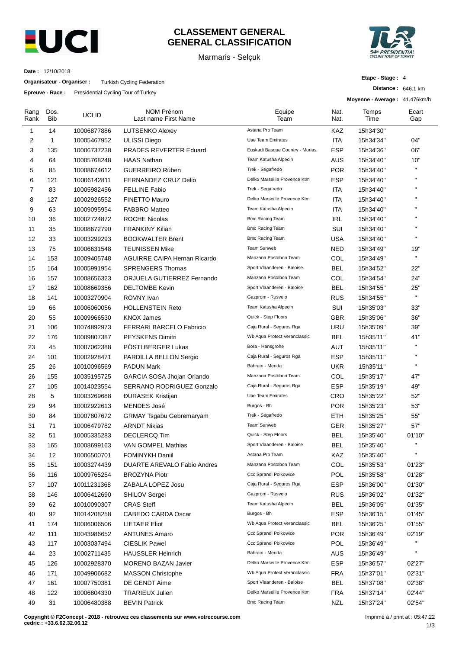

## **CLASSEMENT GENERAL GENERAL CLASSIFICATION**

Marmaris - Selçuk



**Distance :** 646.1 km

**Etape - Stage :** 4

**Date :** 12/10/2018

**Organisateur - Organiser :** Turkish Cycling Federation

**Epreuve - Race :** Presidential Cycling Tour of Turkey

|              |                    | <b>Race: Condential Oyelling Todi of Turket</b> |                                           |                                 | Moyenne - Average: 41.476km/h |               |              |
|--------------|--------------------|-------------------------------------------------|-------------------------------------------|---------------------------------|-------------------------------|---------------|--------------|
| Rang<br>Rank | Dos.<br><b>Bib</b> | UCI ID                                          | <b>NOM Prénom</b><br>Last name First Name | Equipe<br>Team                  | Nat.<br>Nat.                  | Temps<br>Time | Ecart<br>Gap |
| 1            | 14                 | 10006877886                                     | <b>LUTSENKO Alexey</b>                    | Astana Pro Team                 | KAZ                           | 15h34'30"     |              |
| 2            | $\mathbf{1}$       | 10005467952                                     | <b>ULISSI Diego</b>                       | Uae Team Emirates               | ITA                           | 15h34'34"     | 04"          |
| 3            | 135                | 10006737238                                     | PRADES REVERTER Eduard                    | Euskadi Basque Country - Murias | <b>ESP</b>                    | 15h34'36"     | 06"          |
| 4            | 64                 | 10005768248                                     | <b>HAAS Nathan</b>                        | Team Katusha Alpecin            | AUS                           | 15h34'40"     | 10"          |
| 5            | 85                 | 10008674612                                     | <b>GUERREIRO Rúben</b>                    | Trek - Segafredo                | <b>POR</b>                    | 15h34'40"     | $\mathbf{H}$ |
| 6            | 121                | 10006142811                                     | FERNANDEZ CRUZ Delio                      | Delko Marseille Provence Ktm    | ESP                           | 15h34'40"     | $\mathbf{u}$ |
| 7            | 83                 | 10005982456                                     | <b>FELLINE Fabio</b>                      | Trek - Segafredo                | ITA                           | 15h34'40"     | $\mathbf{H}$ |
| 8            | 127                | 10002926552                                     | <b>FINETTO Mauro</b>                      | Delko Marseille Provence Ktm    | ITA                           | 15h34'40"     | $\mathbf{H}$ |
| 9            | 63                 | 10009095954                                     | <b>FABBRO Matteo</b>                      | Team Katusha Alpecin            | ITA                           | 15h34'40"     | $\mathbf{H}$ |
| 10           | 36                 | 10002724872                                     | <b>ROCHE Nicolas</b>                      | <b>Bmc Racing Team</b>          | <b>IRL</b>                    | 15h34'40"     | $\mathbf{H}$ |
| 11           | 35                 | 10008672790                                     | <b>FRANKINY Kilian</b>                    | <b>Bmc Racing Team</b>          | SUI                           | 15h34'40"     | $\mathbf{H}$ |
| 12           | 33                 | 10003299293                                     | <b>BOOKWALTER Brent</b>                   | <b>Bmc Racing Team</b>          | USA                           | 15h34'40"     | H.           |
| 13           | 75                 | 10006631548                                     | <b>TEUNISSEN Mike</b>                     | Team Sunweb                     | <b>NED</b>                    | 15h34'49"     | 19"          |
| 14           | 153                | 10009405748                                     | <b>AGUIRRE CAIPA Hernan Ricardo</b>       | Manzana Postobon Team           | COL                           | 15h34'49"     | H.           |
| 15           | 164                | 10005991954                                     | <b>SPRENGERS Thomas</b>                   | Sport Vlaanderen - Baloise      | <b>BEL</b>                    | 15h34'52"     | 22"          |
| 16           | 157                | 10008656323                                     | ORJUELA GUTIERREZ Fernando                | Manzana Postobon Team           | COL                           | 15h34'54"     | 24"          |
| 17           | 162                | 10008669356                                     | <b>DELTOMBE Kevin</b>                     | Sport Vlaanderen - Baloise      | BEL                           | 15h34'55"     | 25"          |
| 18           | 141                | 10003270904                                     | ROVNY Ivan                                | Gazprom - Rusvelo               | <b>RUS</b>                    | 15h34'55"     | $\mathbf{H}$ |
| 19           | 66                 | 10006060056                                     | <b>HOLLENSTEIN Reto</b>                   | Team Katusha Alpecin            | SUI                           | 15h35'03"     | 33"          |
| 20           | 55                 | 10009966530                                     | <b>KNOX James</b>                         | Quick - Step Floors             | <b>GBR</b>                    | 15h35'06"     | 36"          |
| 21           | 106                | 10074892973                                     | FERRARI BARCELO Fabricio                  | Caja Rural - Seguros Rga        | URU                           | 15h35'09"     | 39"          |
| 22           | 176                | 10009807387                                     | PEYSKENS Dimitri                          | Wb Aqua Protect Veranclassic    | <b>BEL</b>                    | 15h35'11"     | 41"          |
| 23           | 45                 | 10007062388                                     | PÖSTLBERGER Lukas                         | Bora - Hansgrohe                | AUT                           | 15h35'11"     | $\mathbf{H}$ |
| 24           | 101                | 10002928471                                     | PARDILLA BELLON Sergio                    | Caja Rural - Seguros Rga        | <b>ESP</b>                    | 15h35'11"     | $\mathbf{H}$ |
| 25           | 26                 | 10010096569                                     | <b>PADUN Mark</b>                         | Bahrain - Merida                | <b>UKR</b>                    | 15h35'11"     | H.           |
| 26           | 155                | 10035195725                                     | GARCIA SOSA Jhojan Orlando                | Manzana Postobon Team           | COL                           | 15h35'17"     | 47"          |
| 27           | 105                | 10014023554                                     | SERRANO RODRIGUEZ Gonzalo                 | Caja Rural - Seguros Rga        | <b>ESP</b>                    | 15h35'19"     | 49"          |
| 28           | 5                  | 10003269688                                     | <b>ĐURASEK Kristijan</b>                  | <b>Uae Team Emirates</b>        | CRO                           | 15h35'22"     | 52"          |
| 29           | 94                 | 10002922613                                     | <b>MENDES José</b>                        | Burgos - Bh                     | <b>POR</b>                    | 15h35'23"     | 53"          |
| 30           | 84                 | 10007807672                                     | <b>GRMAY Tsgabu Gebremaryam</b>           | Trek - Segafredo                | ETH                           | 15h35'25"     | 55"          |
| 31           | 71                 | 10006479782                                     | <b>ARNDT Nikias</b>                       | <b>Team Sunweb</b>              | GER                           | 15h35'27"     | 57"          |
| 32           | 51                 | 10005335283                                     | <b>DECLERCQ Tim</b>                       | Quick - Step Floors             | <b>BEL</b>                    | 15h35'40"     | 01'10"       |
| 33           | 165                | 10008699163                                     | VAN GOMPEL Mathias                        | Sport Vlaanderen - Baloise      | <b>BEL</b>                    | 15h35'40"     |              |
| 34           | 12                 | 10006500701                                     | <b>FOMINYKH Daniil</b>                    | Astana Pro Team                 | KAZ                           | 15h35'40"     |              |
| 35           | 151                | 10003274439                                     | DUARTE AREVALO Fabio Andres               | Manzana Postobon Team           | COL                           | 15h35'53"     | 01'23"       |
| 36           | 116                | 10009765254                                     | <b>BROZYNA Piotr</b>                      | Ccc Sprandi Polkowice           | <b>POL</b>                    | 15h35'58"     | 01'28"       |
| 37           | 107                | 10011231368                                     | ZABALA LOPEZ Josu                         | Caja Rural - Seguros Rga        | ESP                           | 15h36'00"     | 01'30"       |
| 38           | 146                | 10006412690                                     | <b>SHILOV Sergei</b>                      | Gazprom - Rusvelo               | <b>RUS</b>                    | 15h36'02"     | 01'32"       |
| 39           | 62                 | 10010090307                                     | <b>CRAS Steff</b>                         | Team Katusha Alpecin            | <b>BEL</b>                    | 15h36'05"     | 01'35"       |
| 40           | 92                 | 10014208258                                     | CABEDO CARDA Oscar                        | Burgos - Bh                     | <b>ESP</b>                    | 15h36'15"     | 01'45"       |
| 41           | 174                | 10006006506                                     | LIETAER Eliot                             | Wb Aqua Protect Veranclassic    | BEL                           | 15h36'25"     | 01'55"       |
| 42           | 111                | 10043986652                                     | <b>ANTUNES Amaro</b>                      | Ccc Sprandi Polkowice           | <b>POR</b>                    | 15h36'49"     | 02'19"       |
| 43           | 117                | 10003037494                                     | <b>CIESLIK Pawel</b>                      | Ccc Sprandi Polkowice           | <b>POL</b>                    | 15h36'49"     | H.           |
| 44           | 23                 | 10002711435                                     | <b>HAUSSLER Heinrich</b>                  | Bahrain - Merida                | <b>AUS</b>                    | 15h36'49"     | $\mathbf{H}$ |
| 45           | 126                | 10002928370                                     | <b>MORENO BAZAN Javier</b>                | Delko Marseille Provence Ktm    | ESP                           | 15h36'57"     | 02'27"       |
| 46           | 171                | 10049906682                                     | <b>MASSON Christophe</b>                  | Wb Aqua Protect Veranclassic    | <b>FRA</b>                    | 15h37'01"     | 02'31"       |
| 47           | 161                | 10007750381                                     | DE GENDT Aime                             | Sport Vlaanderen - Baloise      | <b>BEL</b>                    | 15h37'08"     | 02'38"       |
| 48           | 122                | 10006804330                                     | <b>TRARIEUX Julien</b>                    | Delko Marseille Provence Ktm    | <b>FRA</b>                    | 15h37'14"     | 02'44"       |
| 49           | 31                 | 10006480388                                     | <b>BEVIN Patrick</b>                      | <b>Bmc Racing Team</b>          | <b>NZL</b>                    | 15h37'24"     | 02'54"       |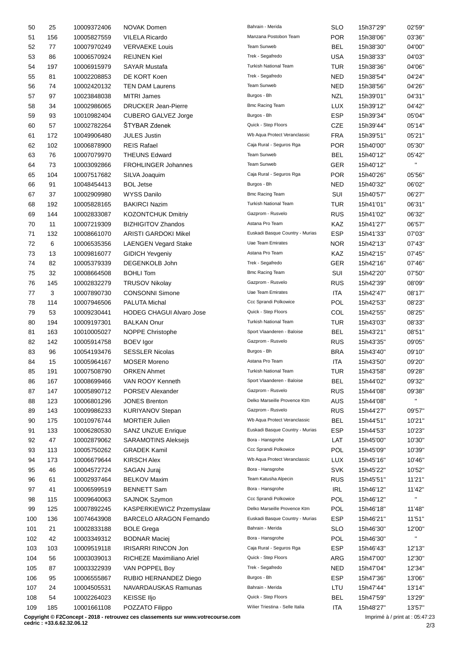| 50  | 25  | 10009372406 | <b>NOVAK Domen</b>              | Bahrain - Merida                | <b>SLO</b> | 15h37'29" | 02'59"         |
|-----|-----|-------------|---------------------------------|---------------------------------|------------|-----------|----------------|
| 51  | 156 | 10005827559 | <b>VILELA Ricardo</b>           | Manzana Postobon Team           | <b>POR</b> | 15h38'06" | 03'36"         |
| 52  | 77  | 10007970249 | <b>VERVAEKE Louis</b>           | Team Sunweb                     | <b>BEL</b> | 15h38'30" | 04'00"         |
| 53  | 86  | 10006570924 | <b>REIJNEN Kiel</b>             | Trek - Segafredo                | <b>USA</b> | 15h38'33" | 04'03"         |
| 54  | 197 | 10006915979 | <b>SAYAR Mustafa</b>            | <b>Turkish National Team</b>    | <b>TUR</b> | 15h38'36" | 04'06"         |
| 55  | 81  | 10002208853 | DE KORT Koen                    | Trek - Segafredo                | <b>NED</b> | 15h38'54" | 04'24"         |
| 56  | 74  | 10002420132 | <b>TEN DAM Laurens</b>          | Team Sunweb                     | <b>NED</b> | 15h38'56" | 04'26"         |
| 57  | 97  | 10023848038 | <b>MITRI James</b>              | Burgos - Bh                     | <b>NZL</b> | 15h39'01" | 04'31"         |
| 58  | 34  | 10002986065 | <b>DRUCKER Jean-Pierre</b>      | Bmc Racing Team                 | <b>LUX</b> | 15h39'12" | 04'42"         |
| 59  | 93  | 10010982404 | <b>CUBERO GALVEZ Jorge</b>      | Burgos - Bh                     | <b>ESP</b> | 15h39'34" | 05'04"         |
| 60  | 57  | 10002782264 | <b>STYBAR Zdenek</b>            | Quick - Step Floors             | CZE        | 15h39'44" | 05'14"         |
| 61  | 172 | 10049906480 | <b>JULES Justin</b>             | Wb Aqua Protect Veranclassic    | <b>FRA</b> | 15h39'51" | 05'21"         |
| 62  | 102 | 10006878900 | <b>REIS Rafael</b>              | Caja Rural - Seguros Rga        | <b>POR</b> | 15h40'00" | 05'30"         |
|     | 76  |             | <b>THEUNS Edward</b>            | Team Sunweb                     | <b>BEL</b> |           | 05'42"         |
| 63  |     | 10007079970 |                                 | Team Sunweb                     |            | 15h40'12" | $\mathbf{H}$   |
| 64  | 73  | 10003092866 | <b>FROHLINGER Johannes</b>      |                                 | GER.       | 15h40'12" |                |
| 65  | 104 | 10007517682 | SILVA Joaquim                   | Caja Rural - Seguros Rga        | <b>POR</b> | 15h40'26" | 05'56"         |
| 66  | 91  | 10048454413 | <b>BOL Jetse</b>                | Burgos - Bh                     | NED        | 15h40'32" | 06'02"         |
| 67  | 37  | 10002909980 | <b>WYSS Danilo</b>              | <b>Bmc Racing Team</b>          | SUI        | 15h40'57" | 06'27"         |
| 68  | 192 | 10005828165 | <b>BAKIRCI Nazim</b>            | <b>Turkish National Team</b>    | TUR        | 15h41'01" | 06'31"         |
| 69  | 144 | 10002833087 | <b>KOZONTCHUK Dmitriy</b>       | Gazprom - Rusvelo               | <b>RUS</b> | 15h41'02" | 06'32"         |
| 70  | 11  | 10007219309 | <b>BIZHIGITOV Zhandos</b>       | Astana Pro Team                 | KAZ        | 15h41'27" | 06'57"         |
| 71  | 132 | 10008661070 | <b>ARISTI GARDOKI Mikel</b>     | Euskadi Basque Country - Murias | <b>ESP</b> | 15h41'33" | 07'03"         |
| 72  | 6   | 10006535356 | <b>LAENGEN Vegard Stake</b>     | <b>Uae Team Emirates</b>        | NOR        | 15h42'13" | 07'43"         |
| 73  | 13  | 10009816077 | <b>GIDICH Yevgeniy</b>          | Astana Pro Team                 | KAZ        | 15h42'15" | 07'45"         |
| 74  | 82  | 10005379339 | DEGENKOLB John                  | Trek - Segafredo                | GER.       | 15h42'16" | 07'46"         |
| 75  | 32  | 10008664508 | <b>BOHLI Tom</b>                | <b>Bmc Racing Team</b>          | SUI        | 15h42'20" | 07'50"         |
| 76  | 145 | 10002832279 | <b>TRUSOV Nikolay</b>           | Gazprom - Rusvelo               | <b>RUS</b> | 15h42'39" | 08'09"         |
| 77  | 3   | 10007890730 | <b>CONSONNI Simone</b>          | <b>Uae Team Emirates</b>        | ITA        | 15h42'47" | 08'17"         |
| 78  | 114 | 10007946506 | PALUTA Michal                   | Ccc Sprandi Polkowice           | POL        | 15h42'53" | 08'23"         |
| 79  | 53  | 10009230441 | <b>HODEG CHAGUI Alvaro Jose</b> | Quick - Step Floors             | COL        | 15h42'55" | 08'25"         |
| 80  | 194 | 10009197301 | <b>BALKAN Onur</b>              | <b>Turkish National Team</b>    | <b>TUR</b> | 15h43'03" | 08'33"         |
| 81  | 163 | 10010005027 | NOPPE Christophe                | Sport Vlaanderen - Baloise      | <b>BEL</b> | 15h43'21" | 08'51"         |
| 82  | 142 | 10005914758 | <b>BOEV</b> Igor                | Gazprom - Rusvelo               | <b>RUS</b> | 15h43'35" | 09'05"         |
| 83  | 96  | 10054193476 | <b>SESSLER Nicolas</b>          | Burgos - Bh                     | <b>BRA</b> | 15h43'40" | 09'10"         |
| 84  | 15  | 10005964167 | <b>MOSER Moreno</b>             | Astana Pro Team                 | ITA        | 15h43'50" | 09'20"         |
| 85  | 191 | 10007508790 | <b>ORKEN Ahmet</b>              | Turkish National Team           | <b>TUR</b> | 15h43'58" | 09'28"         |
| 86  | 167 | 10008699466 | VAN ROOY Kenneth                | Sport Vlaanderen - Baloise      | <b>BEL</b> | 15h44'02" | 09'32"         |
| 87  | 147 | 10005890712 | PORSEV Alexander                | Gazprom - Rusvelo               | <b>RUS</b> | 15h44'08" | 09'38"         |
| 88  | 123 | 10006801296 | <b>JONES Brenton</b>            | Delko Marseille Provence Ktm    | <b>AUS</b> | 15h44'08" | $\mathbf{H}$ . |
| 89  | 143 | 10009986233 | <b>KURIYANOV Stepan</b>         | Gazprom - Rusvelo               | <b>RUS</b> | 15h44'27" | 09'57"         |
| 90  | 175 | 10010976744 | <b>MORTIER Julien</b>           | Wb Aqua Protect Veranclassic    | <b>BEL</b> | 15h44'51" | 10'21"         |
| 91  | 133 | 10006280530 | <b>SANZ UNZUE Enrique</b>       | Euskadi Basque Country - Murias | ESP        | 15h44'53" | 10'23"         |
| 92  | 47  | 10002879062 | <b>SARAMOTINS Aleksejs</b>      | Bora - Hansgrohe                | LAT        | 15h45'00" | 10'30"         |
| 93  | 113 | 10005750262 | <b>GRADEK Kamil</b>             | Ccc Sprandi Polkowice           | POL        | 15h45'09" | 10'39"         |
| 94  | 173 | 10006679644 | <b>KIRSCH Alex</b>              | Wb Aqua Protect Veranclassic    | <b>LUX</b> | 15h45'16" | 10'46"         |
|     | 46  |             |                                 | Bora - Hansgrohe                | <b>SVK</b> | 15h45'22" |                |
| 95  |     | 10004572724 | SAGAN Juraj                     | Team Katusha Alpecin            |            |           | 10'52"         |
| 96  | 61  | 10002937464 | <b>BELKOV Maxim</b>             | Bora - Hansgrohe                | <b>RUS</b> | 15h45'51" | 11'21"         |
| 97  | 41  | 10006599519 | <b>BENNETT Sam</b>              |                                 | <b>IRL</b> | 15h46'12" | 11'42"         |
| 98  | 115 | 10009640063 | <b>SAJNOK Szymon</b>            | Ccc Sprandi Polkowice           | POL        | 15h46'12" |                |
| 99  | 125 | 10007892245 | KASPERKIEWICZ Przemyslaw        | Delko Marseille Provence Ktm    | POL        | 15h46'18" | 11'48"         |
| 100 | 136 | 10074643908 | BARCELO ARAGON Fernando         | Euskadi Basque Country - Murias | <b>ESP</b> | 15h46'21" | 11'51"         |
| 101 | 21  | 10002833188 | <b>BOLE Grega</b>               | Bahrain - Merida                | SLO        | 15h46'30" | 12'00"         |
| 102 | 42  | 10003349312 | <b>BODNAR Maciej</b>            | Bora - Hansgrohe                | POL        | 15h46'30" | $\mathbf{H}$   |
| 103 | 103 | 10009519118 | <b>IRISARRI RINCON Jon</b>      | Caja Rural - Seguros Rga        | <b>ESP</b> | 15h46'43" | 12'13"         |
| 104 | 56  | 10003039013 | RICHEZE Maximiliano Ariel       | Quick - Step Floors             | ARG        | 15h47'00" | 12'30"         |
| 105 | 87  | 10003322939 | VAN POPPEL Boy                  | Trek - Segafredo                | <b>NED</b> | 15h47'04" | 12'34"         |
| 106 | 95  | 10006555867 | RUBIO HERNANDEZ Diego           | Burgos - Bh                     | <b>ESP</b> | 15h47'36" | 13'06"         |
| 107 | 24  | 10004505531 | NAVARDAUSKAS Ramunas            | Bahrain - Merida                | LTU        | 15h47'44" | 13'14"         |
| 108 | 54  | 10002264023 | KEISSE IIjo                     | Quick - Step Floors             | <b>BEL</b> | 15h47'59" | 13'29"         |
| 109 | 185 | 10001661108 | POZZATO Filippo                 | Wilier Triestina - Selle Italia | <b>ITA</b> | 15h48'27" | 13'57"         |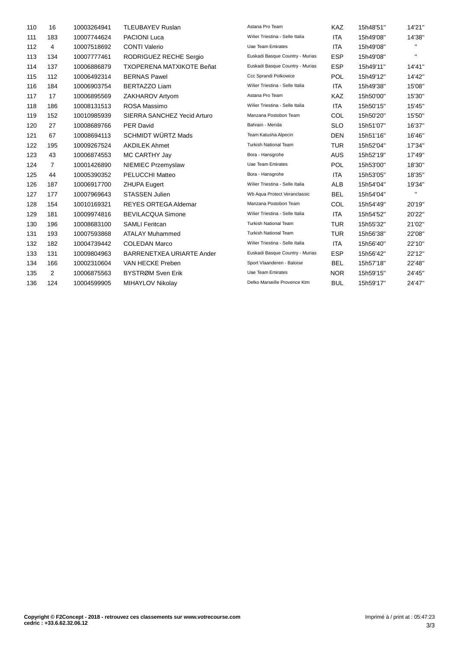| 110 | 16             | 10003264941 | <b>TLEUBAYEV Ruslan</b>          | Astana Pro Team                 | KAZ        | 15h48'51" | 14'21"         |
|-----|----------------|-------------|----------------------------------|---------------------------------|------------|-----------|----------------|
| 111 | 183            | 10007744624 | <b>PACIONI Luca</b>              | Wilier Triestina - Selle Italia | <b>ITA</b> | 15h49'08" | 14'38"         |
| 112 | 4              | 10007518692 | <b>CONTI Valerio</b>             | Uae Team Emirates               | <b>ITA</b> | 15h49'08" | $\mathbf{H}$   |
| 113 | 134            | 10007777461 | RODRIGUEZ RECHE Sergio           | Euskadi Basque Country - Murias | <b>ESP</b> | 15h49'08" | $\mathbf{H}$ . |
| 114 | 137            | 10006886879 | <b>TXOPERENA MATXIKOTE Beñat</b> | Euskadi Basque Country - Murias | <b>ESP</b> | 15h49'11" | 14'41"         |
| 115 | 112            | 10006492314 | <b>BERNAS Pawel</b>              | Ccc Sprandi Polkowice           | <b>POL</b> | 15h49'12" | 14'42"         |
| 116 | 184            | 10006903754 | <b>BERTAZZO Liam</b>             | Wilier Triestina - Selle Italia | ITA        | 15h49'38" | 15'08"         |
| 117 | 17             | 10006895569 | ZAKHAROV Artyom                  | Astana Pro Team                 | <b>KAZ</b> | 15h50'00" | 15'30"         |
| 118 | 186            | 10008131513 | ROSA Massimo                     | Wilier Triestina - Selle Italia | <b>ITA</b> | 15h50'15" | 15'45"         |
| 119 | 152            | 10010985939 | SIERRA SANCHEZ Yecid Arturo      | Manzana Postobon Team           | COL        | 15h50'20" | 15'50"         |
| 120 | 27             | 10008689766 | <b>PER David</b>                 | Bahrain - Merida                | <b>SLO</b> | 15h51'07" | 16'37"         |
| 121 | 67             | 10008694113 | <b>SCHMIDT WÜRTZ Mads</b>        | Team Katusha Alpecin            | <b>DEN</b> | 15h51'16" | 16'46"         |
| 122 | 195            | 10009267524 | <b>AKDILEK Ahmet</b>             | <b>Turkish National Team</b>    | <b>TUR</b> | 15h52'04" | 17'34"         |
| 123 | 43             | 10006874553 | MC CARTHY Jay                    | Bora - Hansgrohe                | <b>AUS</b> | 15h52'19" | 17'49"         |
| 124 | $\overline{7}$ | 10001426890 | NIEMIEC Przemyslaw               | Uae Team Emirates               | <b>POL</b> | 15h53'00" | 18'30"         |
| 125 | 44             | 10005390352 | PELUCCHI Matteo                  | Bora - Hansgrohe                | ITA        | 15h53'05" | 18'35"         |
| 126 | 187            | 10006917700 | <b>ZHUPA Eugert</b>              | Wilier Triestina - Selle Italia | <b>ALB</b> | 15h54'04" | 19'34"         |
| 127 | 177            | 10007969643 | <b>STASSEN Julien</b>            | Wb Aqua Protect Veranclassic    | <b>BEL</b> | 15h54'04" | $\mathbf{H}$   |
| 128 | 154            | 10010169321 | <b>REYES ORTEGA Aldemar</b>      | Manzana Postobon Team           | COL        | 15h54'49" | 20'19"         |
| 129 | 181            | 10009974816 | <b>BEVILACQUA Simone</b>         | Wilier Triestina - Selle Italia | <b>ITA</b> | 15h54'52" | 20'22"         |
| 130 | 196            | 10008683100 | <b>SAMLI Feritcan</b>            | <b>Turkish National Team</b>    | <b>TUR</b> | 15h55'32" | 21'02"         |
| 131 | 193            | 10007593868 | <b>ATALAY Muhammed</b>           | <b>Turkish National Team</b>    | <b>TUR</b> | 15h56'38" | 22'08"         |
| 132 | 182            | 10004739442 | <b>COLEDAN Marco</b>             | Wilier Triestina - Selle Italia | <b>ITA</b> | 15h56'40" | 22'10"         |
| 133 | 131            | 10009804963 | BARRENETXEA URIARTE Ander        | Euskadi Basque Country - Murias | <b>ESP</b> | 15h56'42" | 22'12"         |
| 134 | 166            | 10002310604 | VAN HECKE Preben                 | Sport Vlaanderen - Baloise      | <b>BEL</b> | 15h57'18" | 22'48"         |
| 135 | 2              | 10006875563 | BYSTRØM Sven Erik                | <b>Uae Team Emirates</b>        | <b>NOR</b> | 15h59'15" | 24'45"         |
| 136 | 124            | 10004599905 | MIHAYLOV Nikolay                 | Delko Marseille Provence Ktm    | <b>BUL</b> | 15h59'17" | 24'47"         |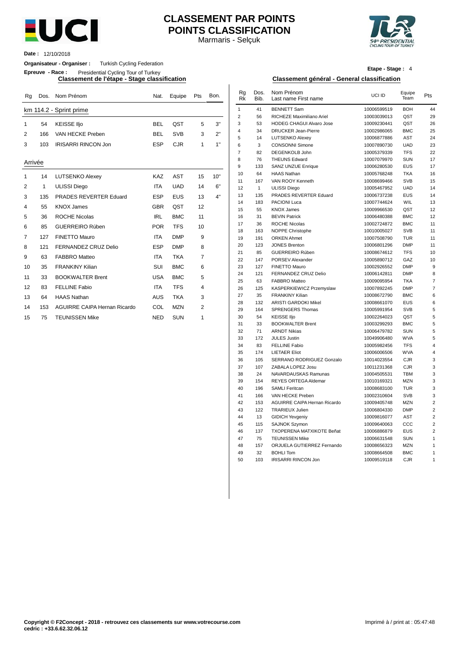

# **CLASSEMENT PAR POINTS POINTS CLASSIFICATION**

Marmaris - Selçuk



**Date :** 12/10/2018

**Organisateur - Organiser :** Turkish Cycling Federation

**Epreuve - Race :** Presidential Cycling Tour of Turkey

| Rg      | Dos. | Nom Prénom                          | Nat.       | Equipe     | Pts            | Bon. | Rg<br><b>Rk</b> | Dos.<br>Bib. | Nom Prénom<br>Last name First name           | UCI ID                     | Equipe<br>Team           | Pts            |
|---------|------|-------------------------------------|------------|------------|----------------|------|-----------------|--------------|----------------------------------------------|----------------------------|--------------------------|----------------|
|         |      | km 114.2 - Sprint prime             |            |            |                |      | $\mathbf{1}$    | 41           | <b>BENNETT Sam</b>                           | 10006599519                | <b>BOH</b>               | 44             |
|         |      |                                     |            |            |                |      | $\overline{2}$  | 56           | RICHEZE Maximiliano Ariel                    | 10003039013                | QST                      | 29             |
| 1       | 54   | <b>KEISSE IIjo</b>                  | <b>BEL</b> | QST        | 5              | 3"   | 3               | 53           | <b>HODEG CHAGUI Alvaro Jose</b>              | 10009230441                | QST                      | 26             |
| 2       | 166  | VAN HECKE Preben                    | <b>BEL</b> | <b>SVB</b> | 3              | 2"   | $\overline{4}$  | 34           | <b>DRUCKER Jean-Pierre</b>                   | 10002986065                | <b>BMC</b>               | 25             |
|         |      |                                     |            |            |                |      | 5               | 14           | <b>LUTSENKO Alexey</b>                       | 10006877886                | <b>AST</b>               | 24             |
| 3       | 103  | <b>IRISARRI RINCON Jon</b>          | <b>ESP</b> | <b>CJR</b> | $\mathbf{1}$   | 1"   | 6               | 3            | <b>CONSONNI Simone</b>                       | 10007890730                | <b>UAD</b>               | 23             |
|         |      |                                     |            |            |                |      | $\overline{7}$  | 82           | <b>DEGENKOLB John</b>                        | 10005379339                | <b>TFS</b>               | 22             |
| Arrivée |      |                                     |            |            |                |      | 8               | 76           | <b>THEUNS Edward</b>                         | 10007079970                | SUN                      | 17             |
|         |      |                                     |            |            |                |      | 9               | 133          | <b>SANZ UNZUE Enrique</b>                    | 10006280530                | <b>EUS</b>               | 17             |
| 1       | 14   | <b>LUTSENKO Alexey</b>              | <b>KAZ</b> | <b>AST</b> | 15             | 10"  | 10              | 64           | <b>HAAS Nathan</b>                           | 10005768248                | <b>TKA</b>               | 16             |
| 2       | 1    |                                     | <b>ITA</b> | <b>UAD</b> | 14             | 6"   | 11              | 167          | VAN ROOY Kenneth                             | 10008699466                | <b>SVB</b>               | 15             |
|         |      | <b>ULISSI Diego</b>                 |            |            |                |      | 12              | $\mathbf{1}$ | <b>ULISSI Diego</b>                          | 10005467952                | <b>UAD</b>               | 14             |
| 3       | 135  | PRADES REVERTER Eduard              | <b>ESP</b> | <b>EUS</b> | 13             | 4"   | 13              | 135          | PRADES REVERTER Eduard                       | 10006737238                | EUS                      | 14             |
| 4       | 55   | <b>KNOX James</b>                   | <b>GBR</b> | QST        | 12             |      | 14              | 183          | PACIONI Luca                                 | 10007744624                | WIL                      | 13             |
|         |      |                                     |            |            |                |      | 15              | 55           | <b>KNOX James</b>                            | 10009966530                | QST                      | 12             |
| 5       | 36   | <b>ROCHE Nicolas</b>                | <b>IRL</b> | <b>BMC</b> | 11             |      | 16<br>17        | 31<br>36     | <b>BEVIN Patrick</b><br><b>ROCHE Nicolas</b> | 10006480388                | <b>BMC</b><br><b>BMC</b> | 12             |
| 6       | 85   | <b>GUERREIRO Rúben</b>              | <b>POR</b> | <b>TFS</b> | 10             |      | 18              | 163          | NOPPE Christophe                             | 10002724872<br>10010005027 | <b>SVB</b>               | 11<br>11       |
| 7       | 127  | <b>FINETTO Mauro</b>                | <b>ITA</b> | <b>DMP</b> | 9              |      | 19              | 191          | <b>ORKEN Ahmet</b>                           | 10007508790                | <b>TUR</b>               | 11             |
|         | 121  | FERNANDEZ CRUZ Delio                | <b>ESP</b> | <b>DMP</b> | 8              |      | 20              | 123          | <b>JONES Brenton</b>                         | 10006801296                | <b>DMP</b>               | 11             |
| 8       |      |                                     |            |            |                |      | 21              | 85           | <b>GUERREIRO Rúben</b>                       | 10008674612                | <b>TFS</b>               | 1 <sup>1</sup> |
| 9       | 63   | <b>FABBRO Matteo</b>                | <b>ITA</b> | <b>TKA</b> | $\overline{7}$ |      | 22              | 147          | PORSEV Alexander                             | 10005890712                | GAZ                      | 1 <sub>0</sub> |
| 10      | 35   | <b>FRANKINY Kilian</b>              | SUI        | <b>BMC</b> | 6              |      | 23              | 127          | FINETTO Mauro                                | 10002926552                | <b>DMP</b>               |                |
| 11      | 33   | <b>BOOKWALTER Brent</b>             | <b>USA</b> | <b>BMC</b> | 5              |      | 24              | 121          | FERNANDEZ CRUZ Delio                         | 10006142811                | <b>DMP</b>               |                |
|         |      |                                     |            |            |                |      | 25              | 63           | <b>FABBRO Matteo</b>                         | 10009095954                | <b>TKA</b>               |                |
| 12      | 83   | <b>FELLINE Fabio</b>                | <b>ITA</b> | <b>TFS</b> | $\overline{4}$ |      | 26              | 125          | KASPERKIEWICZ Przemyslaw                     | 10007892245                | <b>DMP</b>               |                |
| 13      | 64   | <b>HAAS Nathan</b>                  | <b>AUS</b> | <b>TKA</b> | 3              |      | 27              | 35           | <b>FRANKINY Kilian</b>                       | 10008672790                | <b>BMC</b>               |                |
| 14      | 153  | <b>AGUIRRE CAIPA Hernan Ricardo</b> | COL        | <b>MZN</b> | 2              |      | 28              | 132          | <b>ARISTI GARDOKI Mikel</b>                  | 10008661070                | <b>EUS</b>               |                |
|         |      |                                     |            |            |                |      | 29              | 164          | <b>SPRENGERS Thomas</b>                      | 10005991954                | <b>SVB</b>               |                |
| 15      | 75   | <b>TEUNISSEN Mike</b>               | <b>NED</b> | <b>SUN</b> | 1              |      | 30              | 54           | <b>KEISSE Ilio</b>                           | 10002264023                | QST                      |                |

# **Etape - Stage :** 4

#### **Classement de l'étape - Stage classification Classement général - General classification**

| Nat.       | Equipe     | Pts            | Bon. | Rg<br>Rk       | Dos.<br>Bib. | Nom Prénom<br>Last name First name                      | UCI ID                     | Equipe<br>Team           | Pts                 |
|------------|------------|----------------|------|----------------|--------------|---------------------------------------------------------|----------------------------|--------------------------|---------------------|
|            |            |                |      | $\mathbf{1}$   | 41           | <b>BENNETT Sam</b>                                      | 10006599519                | <b>BOH</b>               | 44                  |
|            |            |                |      | $\overline{2}$ | 56           | RICHEZE Maximiliano Ariel                               | 10003039013                | QST                      | 29                  |
| BEL        | QST        | 5              | 3"   | 3              | 53           | <b>HODEG CHAGUI Alvaro Jose</b>                         | 10009230441                | QST                      | 26                  |
|            |            |                | 2"   | 4              | 34           | <b>DRUCKER Jean-Pierre</b>                              | 10002986065                | <b>BMC</b>               | 25                  |
| BEL        | <b>SVB</b> | 3              |      | 5              | 14           | <b>LUTSENKO Alexey</b>                                  | 10006877886                | <b>AST</b>               | 24                  |
| ESP        | CJR        | 1              | 1"   | 6              | 3            | <b>CONSONNI Simone</b>                                  | 10007890730                | <b>UAD</b>               | 23                  |
|            |            |                |      | $\overline{7}$ | 82           | DEGENKOLB John                                          | 10005379339                | <b>TFS</b>               | 22                  |
|            |            |                |      | 8              | 76           | <b>THEUNS Edward</b>                                    | 10007079970                | <b>SUN</b>               | 17                  |
|            |            |                |      | 9              | 133          | SANZ UNZUE Enrique                                      | 10006280530                | <b>EUS</b>               | 17                  |
| KAZ        | <b>AST</b> | 15             | 10"  | 10             | 64           | <b>HAAS Nathan</b>                                      | 10005768248                | <b>TKA</b>               | 16                  |
|            |            |                |      | 11             | 167          | VAN ROOY Kenneth                                        | 10008699466                | SVB                      | 15                  |
| ITA        | UAD        | 14             | 6"   | 12             | $\mathbf{1}$ | <b>ULISSI Diego</b>                                     | 10005467952                | <b>UAD</b>               | 14                  |
| ESP        | <b>EUS</b> | 13             | 4"   | 13             | 135          | PRADES REVERTER Eduard                                  | 10006737238                | <b>EUS</b>               | 14                  |
| GBR        | QST        | 12             |      | 14             | 183          | PACIONI Luca                                            | 10007744624                | WIL                      | 13                  |
|            |            |                |      | 15             | 55           | <b>KNOX James</b>                                       | 10009966530                | QST                      | 12                  |
| <b>IRL</b> | <b>BMC</b> | 11             |      | 16             | 31           | <b>BEVIN Patrick</b>                                    | 10006480388                | <b>BMC</b>               | 12                  |
| POR        | <b>TFS</b> | 10             |      | 17             | 36           | <b>ROCHE Nicolas</b>                                    | 10002724872                | <b>BMC</b>               | 11                  |
|            |            |                |      | 18             | 163          | NOPPE Christophe                                        | 10010005027                | SVB                      | 11                  |
| ITA        | <b>DMP</b> | 9              |      | 19             | 191          | <b>ORKEN Ahmet</b>                                      | 10007508790                | <b>TUR</b>               | 11                  |
| ESP        | <b>DMP</b> | 8              |      | 20             | 123          | <b>JONES Brenton</b>                                    | 10006801296                | <b>DMP</b>               | 11                  |
| ITA        | <b>TKA</b> | $\overline{7}$ |      | 21             | 85           | GUERREIRO Rúben                                         | 10008674612                | <b>TFS</b>               | 10                  |
|            |            |                |      | 22             | 147          | PORSEV Alexander                                        | 10005890712                | GAZ                      | 10                  |
| SUI        | <b>BMC</b> | 6              |      | 23             | 127          | <b>FINETTO Mauro</b>                                    | 10002926552                | <b>DMP</b>               | $\mathsf g$         |
| USA        | <b>BMC</b> | 5              |      | 24             | 121          | FERNANDEZ CRUZ Delio                                    | 10006142811                | <b>DMP</b>               | 8                   |
|            |            |                |      | 25             | 63           | <b>FABBRO Matteo</b>                                    | 10009095954                | <b>TKA</b>               | $\overline{7}$      |
| ITA        | <b>TFS</b> | 4              |      | 26             | 125          | KASPERKIEWICZ Przemyslaw                                | 10007892245                | <b>DMP</b>               | $\overline{7}$      |
| AUS        | <b>TKA</b> | 3              |      | 27             | 35           | <b>FRANKINY Kilian</b>                                  | 10008672790                | <b>BMC</b>               | 6                   |
| COL        | <b>MZN</b> | $\overline{2}$ |      | 28             | 132          | <b>ARISTI GARDOKI Mikel</b>                             | 10008661070                | <b>EUS</b>               | 6                   |
|            |            |                |      | 29             | 164          | SPRENGERS Thomas                                        | 10005991954                | <b>SVB</b>               | 5                   |
| NED        | <b>SUN</b> | 1              |      | 30             | 54           | <b>KEISSE IIjo</b>                                      | 10002264023                | QST                      | 5                   |
|            |            |                |      | 31             | 33           | <b>BOOKWALTER Brent</b>                                 | 10003299293                | <b>BMC</b>               | 5                   |
|            |            |                |      | 32             | 71           | <b>ARNDT Nikias</b>                                     | 10006479782                | <b>SUN</b>               | 5                   |
|            |            |                |      | 33             | 172          | <b>JULES Justin</b>                                     | 10049906480                | <b>WVA</b>               | 5                   |
|            |            |                |      | 34             | 83           | <b>FELLINE Fabio</b>                                    | 10005982456                | <b>TFS</b>               | 4                   |
|            |            |                |      | 35             | 174          | <b>LIETAER Eliot</b>                                    | 10006006506                | <b>WVA</b>               | 4                   |
|            |            |                |      | 36             | 105          | SERRANO RODRIGUEZ Gonzalo                               | 10014023554                | <b>CJR</b>               | 3                   |
|            |            |                |      | 37             | 107          | ZABALA LOPEZ Josu                                       | 10011231368                | <b>CJR</b>               | 3                   |
|            |            |                |      | 38             | 24           | NAVARDAUSKAS Ramunas                                    | 10004505531                | <b>TBM</b>               | 3                   |
|            |            |                |      | 39             | 154          | REYES ORTEGA Aldemar                                    | 10010169321                | <b>MZN</b>               | 3                   |
|            |            |                |      | 40             | 196          | <b>SAMLI Feritcan</b>                                   | 10008683100                | <b>TUR</b>               | 3                   |
|            |            |                |      | 41<br>42       | 166<br>153   | VAN HECKE Preben<br><b>AGUIRRE CAIPA Hernan Ricardo</b> | 10002310604                | <b>SVB</b>               | 3<br>$\overline{2}$ |
|            |            |                |      | 43             | 122          | <b>TRARIEUX Julien</b>                                  | 10009405748                | <b>MZN</b><br><b>DMP</b> | $\overline{2}$      |
|            |            |                |      |                |              |                                                         | 10006804330                |                          | $\overline{2}$      |
|            |            |                |      | 44<br>45       | 13<br>115    | <b>GIDICH Yevgeniy</b><br><b>SAJNOK Szymon</b>          | 10009816077<br>10009640063 | AST<br>ccc               | $\overline{2}$      |
|            |            |                |      | 46             | 137          | TXOPERENA MATXIKOTE Beñat                               | 10006886879                | <b>EUS</b>               | $\overline{2}$      |
|            |            |                |      | 47             | 75           | <b>TEUNISSEN Mike</b>                                   | 10006631548                | <b>SUN</b>               | $\mathbf{1}$        |
|            |            |                |      | 48             | 157          | ORJUELA GUTIERREZ Fernando                              | 10008656323                | <b>MZN</b>               | 1                   |
|            |            |                |      | 49             | 32           | <b>BOHLI Tom</b>                                        | 10008664508                | <b>BMC</b>               | $\mathbf{1}$        |
|            |            |                |      | 50             | 103          | IRISARRI RINCON Jon                                     | 10009519118                | <b>CJR</b>               | 1                   |
|            |            |                |      |                |              |                                                         |                            |                          |                     |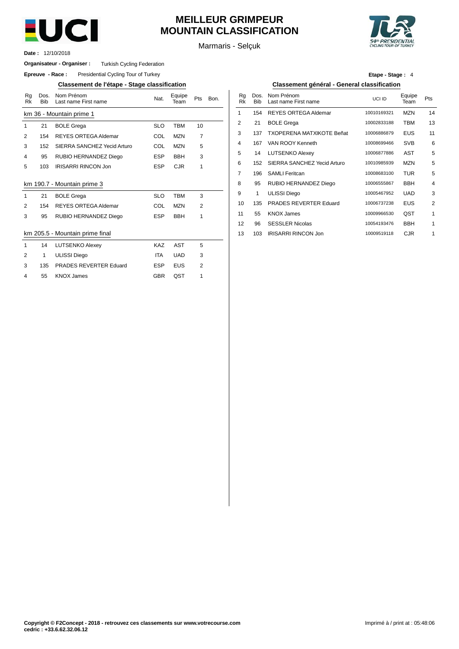

# **MEILLEUR GRIMPEUR MOUNTAIN CLASSIFICATION**

Marmaris - Selçuk



12/10/2018 **Date :**

### **Organisateur - Organiser :** Turkish Cycling Federation

**Epreuve - Race:** Presidential Cycling Tour of Turkey

## **Classement de l'étape - Stage classification Classement général - General classification**

| Rg<br><b>Rk</b> | Dos.<br><b>Bib</b> | Nom Prénom<br>Last name First name | Nat.       | Equipe<br>Team | Pts            | Bon. | Rg<br><b>Rk</b> | Dos.<br><b>Bib</b> | Nom Prénom<br>Last name Fir |
|-----------------|--------------------|------------------------------------|------------|----------------|----------------|------|-----------------|--------------------|-----------------------------|
|                 |                    | km 36 - Mountain prime 1           |            |                |                |      | 1               | 154                | <b>REYES ORT</b>            |
| 1               | 21                 | <b>BOLE Grega</b>                  | <b>SLO</b> | <b>TBM</b>     | 10             |      | $\overline{2}$  | 21                 | <b>BOLE Grega</b>           |
| $\overline{2}$  | 154                | <b>REYES ORTEGA Aldemar</b>        | <b>COL</b> | <b>MZN</b>     | $\overline{7}$ |      | 3               | 137                | <b>TXOPERENA</b>            |
| 3               | 152                | SIERRA SANCHEZ Yecid Arturo        | <b>COL</b> | <b>MZN</b>     | 5              |      | 4               | 167                | VAN ROOY K                  |
| 4               | 95                 | RUBIO HERNANDEZ Diego              | <b>ESP</b> | <b>BBH</b>     | 3              |      | 5               | 14                 | LUTSENKO /                  |
| 5               | 103                | <b>IRISARRI RINCON Jon</b>         | <b>ESP</b> | <b>CJR</b>     | 1              |      | 6               | 152                | <b>SIERRA SAN</b>           |
|                 |                    |                                    |            |                |                |      | 7               | 196                | <b>SAMLI Feritca</b>        |
|                 |                    | km 190.7 - Mountain prime 3        |            |                |                |      | 8               | 95                 | <b>RUBIO HERN</b>           |
| 1               | 21                 | <b>BOLE Grega</b>                  | <b>SLO</b> | <b>TBM</b>     | 3              |      | 9               | 1                  | <b>ULISSI</b> Diego         |
| 2               | 154                | <b>REYES ORTEGA Aldemar</b>        | <b>COL</b> | <b>MZN</b>     | $\overline{2}$ |      | 10              | 135                | <b>PRADES RE</b>            |
| 3               | 95                 | RUBIO HERNANDEZ Diego              | <b>ESP</b> | <b>BBH</b>     | 1              |      | 11              | 55                 | <b>KNOX James</b>           |
|                 |                    |                                    |            |                |                |      | 12              | 96                 | <b>SESSLER Ni</b>           |
|                 |                    | km 205.5 - Mountain prime final    |            |                |                |      | 13              | 103                | <b>IRISARRI RIN</b>         |
| 1               | 14                 | <b>LUTSENKO Alexey</b>             | <b>KAZ</b> | <b>AST</b>     | 5              |      |                 |                    |                             |
| 2               | 1                  | <b>ULISSI Diego</b>                | <b>ITA</b> | <b>UAD</b>     | 3              |      |                 |                    |                             |
| 3               | 135                | PRADES REVERTER Eduard             | <b>ESP</b> | <b>EUS</b>     | 2              |      |                 |                    |                             |
| 4               | 55                 | <b>KNOX James</b>                  | <b>GBR</b> | QST            | 1              |      |                 |                    |                             |

# **Etape - Stage :** 4

| Nom Prénom<br>Last name First name | Nat.       | Equipe<br>Team | Pts | Bon. | Rq<br>Rk | Dos.<br><b>Bib</b> | Nom Prénom<br>Last name First name | UCI ID      | Equipe<br>Team | Pts |
|------------------------------------|------------|----------------|-----|------|----------|--------------------|------------------------------------|-------------|----------------|-----|
| untain prime 1                     |            |                |     |      |          | 154                | <b>REYES ORTEGA Aldemar</b>        | 10010169321 | <b>MZN</b>     | 14  |
| <b>BOLE Grega</b>                  | <b>SLO</b> | <b>TBM</b>     | 10  |      | 2        | 21                 | <b>BOLE Grega</b>                  | 10002833188 | твм            | 13  |
| <b>REYES ORTEGA Aldemar</b>        | COL        | <b>MZN</b>     | 7   |      | 3        | 137                | <b>TXOPERENA MATXIKOTE Beñat</b>   | 10006886879 | <b>EUS</b>     | 11  |
| SIERRA SANCHEZ Yecid Arturo        | COL        | <b>MZN</b>     | 5   |      | 4        | 167                | VAN ROOY Kenneth                   | 10008699466 | <b>SVB</b>     | 6   |
| RUBIO HERNANDEZ Diego              | <b>ESP</b> | <b>BBH</b>     | 3   |      | 5        | 14                 | <b>LUTSENKO Alexey</b>             | 10006877886 | AST            | 5   |
| <b>IRISARRI RINCON Jon</b>         | <b>ESP</b> | <b>CJR</b>     | 1   |      | 6        | 152                | SIERRA SANCHEZ Yecid Arturo        | 10010985939 | <b>MZN</b>     | 5   |
|                                    |            |                |     |      | 7        | 196                | <b>SAMLI Feritcan</b>              | 10008683100 | <b>TUR</b>     | 5   |
| Mountain prime 3                   |            |                |     |      | 8        | 95                 | <b>RUBIO HERNANDEZ Diego</b>       | 10006555867 | <b>BBH</b>     | 4   |
| <b>BOLE Grega</b>                  | <b>SLO</b> | <b>TBM</b>     | 3   |      | 9        | 1                  | <b>ULISSI Diego</b>                | 10005467952 | <b>UAD</b>     | 3   |
| <b>REYES ORTEGA Aldemar</b>        | COL        | <b>MZN</b>     | 2   |      | 10       | 135                | PRADES REVERTER Eduard             | 10006737238 | <b>EUS</b>     | 2   |
| RUBIO HERNANDEZ Diego              | <b>ESP</b> | <b>BBH</b>     | 1   |      | 11       | 55                 | <b>KNOX James</b>                  | 10009966530 | QST            | 1   |
|                                    |            |                |     |      | 12       | 96                 | <b>SESSLER Nicolas</b>             | 10054193476 | <b>BBH</b>     | 1   |
| Mountain prime final               |            |                |     |      | 13       | 103                | <b>IRISARRI RINCON Jon</b>         | 10009519118 | <b>CJR</b>     |     |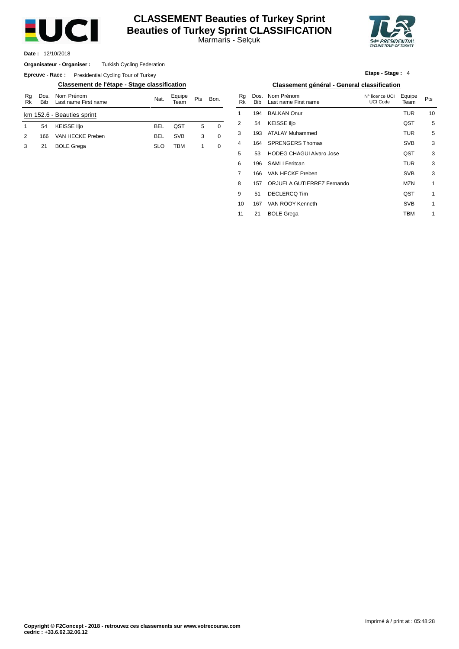

# **CLASSEMENT Beauties of Turkey Sprint Beauties of Turkey Sprint CLASSIFICATION**

Marmaris - Selçuk



12/10/2018 **Date :**

#### Turkish Cycling Federation **Organisateur - Organiser :**

**Epreuve - Race:** Presidential Cycling Tour of Turkey

### **Classement de l'étape - Stage classification Classement général - General classification**

| Rg<br>Rk | <b>Bib</b> | Dos. Nom Prénom<br>Last name First name | Nat.       | Equipe<br>Team | <b>Pts</b><br>Bon. |   |  |  |  |
|----------|------------|-----------------------------------------|------------|----------------|--------------------|---|--|--|--|
|          |            | km 152.6 - Beauties sprint              |            |                |                    |   |  |  |  |
|          | 54         | <b>KEISSE Iljo</b>                      | <b>BFI</b> | OST            | 5                  | 0 |  |  |  |
| 2        | 166        | VAN HECKE Preben                        | <b>BFI</b> | <b>SVB</b>     | 3                  | 0 |  |  |  |
| 3        | 21         | <b>BOLE Grega</b>                       | SLO        | TRM            |                    | 0 |  |  |  |

**Etape - Stage :** 4

| Bon.        | Rq<br>Rk | Dos.<br><b>Bib</b> | Nom Prénom<br>Last name First name | N° licence UCI<br><b>UCI Code</b> | Equipe<br>Team | Pts |
|-------------|----------|--------------------|------------------------------------|-----------------------------------|----------------|-----|
|             | 1        | 194                | <b>BALKAN Onur</b>                 |                                   | TUR            | 10  |
| $\mathbf 0$ | 2        | 54                 | <b>KEISSE IIjo</b>                 |                                   | QST            | 5   |
| $\mathbf 0$ | 3        | 193                | ATALAY Muhammed                    |                                   | <b>TUR</b>     | 5   |
| $\mathbf 0$ | 4        | 164                | <b>SPRENGERS Thomas</b>            |                                   | <b>SVB</b>     | 3   |
|             | 5        | 53                 | <b>HODEG CHAGUI Alvaro Jose</b>    |                                   | QST            | 3   |
|             | 6        | 196                | <b>SAMLI Feritcan</b>              |                                   | <b>TUR</b>     | 3   |
|             | 7        | 166                | VAN HECKE Preben                   |                                   | <b>SVB</b>     | 3   |
|             | 8        | 157                | ORJUELA GUTIERREZ Fernando         |                                   | <b>MZN</b>     | 1   |
|             | 9        | 51                 | <b>DECLERCQ Tim</b>                |                                   | QST            | 1   |
|             | 10       | 167                | VAN ROOY Kenneth                   |                                   | <b>SVB</b>     | 1   |
|             | 11       | 21                 | <b>BOLE Grega</b>                  |                                   | твм            | 1   |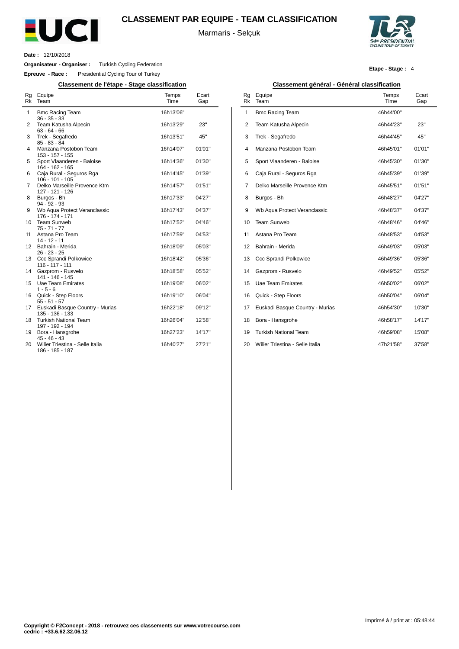

## **CLASSEMENT PAR EQUIPE - TEAM CLASSIFICATION**

Marmaris - Selçuk



**Etape - Stage :** 4

**Date :** 12/10/2018

L.

**Organisateur - Organiser :** Turkish Cycling Federation

**Epreuve - Race :** Presidential Cycling Tour of Turkey

**Classement de l'étape - Stage classification Classement général - Général classification**

| Rg<br>Rk       | Equipe<br>Team                                     | Temps<br>Time | Ecart<br>Gap |
|----------------|----------------------------------------------------|---------------|--------------|
| 1              | <b>Bmc Racing Team</b><br>$36 - 35 - 33$           | 16h13'06"     |              |
| 2              | Team Katusha Alpecin<br>$63 - 64 - 66$             | 16h13'29"     | 23"          |
| 3              | Trek - Segafredo<br>$85 - 83 - 84$                 | 16h13'51"     | 45"          |
| 4              | Manzana Postobon Team<br>153 - 157 - 155           | 16h14'07"     | 01'01"       |
| 5              | Sport Vlaanderen - Baloise<br>164 - 162 - 165      | 16h14'36"     | 01'30"       |
| 6              | Caja Rural - Seguros Rga<br>$106 - 101 - 105$      | 16h14'45"     | 01'39"       |
| $\overline{7}$ | Delko Marseille Provence Ktm<br>127 - 121 - 126    | 16h14'57"     | 01'51"       |
| 8              | Burgos - Bh<br>$94 - 92 - 93$                      | 16h17'33"     | 04'27"       |
| 9              | Wb Aqua Protect Veranclassic<br>176 - 174 - 171    | 16h17'43"     | 04'37"       |
| 10             | <b>Team Sunweb</b><br>$75 - 71 - 77$               | 16h17'52"     | 04'46"       |
| 11             | Astana Pro Team<br>$14 - 12 - 11$                  | 16h17'59"     | 04'53"       |
| 12             | Bahrain - Merida<br>$26 - 23 - 25$                 | 16h18'09"     | 05'03"       |
| 13             | Ccc Sprandi Polkowice<br>$116 - 117 - 111$         | 16h18'42"     | 05'36"       |
| 14             | Gazprom - Rusvelo<br>141 - 146 - 145               | 16h18'58"     | 05'52"       |
| 15             | <b>Uae Team Emirates</b><br>$1 - 5 - 6$            | 16h19'08"     | 06'02"       |
| 16             | Quick - Step Floors<br>$55 - 51 - 57$              | 16h19'10"     | 06'04"       |
| 17             | Euskadi Basque Country - Murias<br>135 - 136 - 133 | 16h22'18"     | 09'12"       |
| 18             | <b>Turkish National Team</b><br>197 - 192 - 194    | 16h26'04"     | 12'58"       |
| 19             | Bora - Hansgrohe<br>$45 - 46 - 43$                 | 16h27'23"     | 14'17"       |
| 20             | Wilier Triestina - Selle Italia<br>186 - 185 - 187 | 16h40'27"     | 27'21"       |

| Rg<br><b>Rk</b> | Equipe<br>Team                  | Temps<br>Time | Ecart<br>Gap |
|-----------------|---------------------------------|---------------|--------------|
| 1               | <b>Bmc Racing Team</b>          | 46h44'00"     |              |
| 2               | Team Katusha Alpecin            | 46h44'23"     | 23"          |
| 3               | Trek - Segafredo                | 46h44'45"     | 45"          |
| 4               | Manzana Postobon Team           | 46h45'01"     | 01'01"       |
| 5               | Sport Vlaanderen - Baloise      | 46h45'30"     | 01'30"       |
| 6               | Caja Rural - Seguros Rga        | 46h45'39"     | 01'39"       |
| 7               | Delko Marseille Provence Ktm    | 46h45'51"     | 01'51"       |
| 8               | Burgos - Bh                     | 46h48'27"     | 04'27"       |
| 9               | Wb Aqua Protect Veranclassic    | 46h48'37"     | 04'37"       |
| 10              | Team Sunweb                     | 46h48'46"     | 04'46"       |
| 11              | Astana Pro Team                 | 46h48'53"     | 04'53"       |
| 12              | Bahrain - Merida                | 46h49'03"     | 05'03"       |
| 13              | Ccc Sprandi Polkowice           | 46h49'36"     | 05'36"       |
| 14              | Gazprom - Rusvelo               | 46h49'52"     | 05'52"       |
| 15              | Uae Team Emirates               | 46h50'02"     | 06'02"       |
| 16              | Quick - Step Floors             | 46h50'04"     | 06'04"       |
| 17              | Euskadi Basque Country - Murias | 46h54'30"     | 10'30"       |
| 18              | Bora - Hansgrohe                | 46h58'17"     | 14'17"       |
| 19              | <b>Turkish National Team</b>    | 46h59'08"     | 15'08"       |
| 20              | Wilier Triestina - Selle Italia | 47h21'58"     | 37'58"       |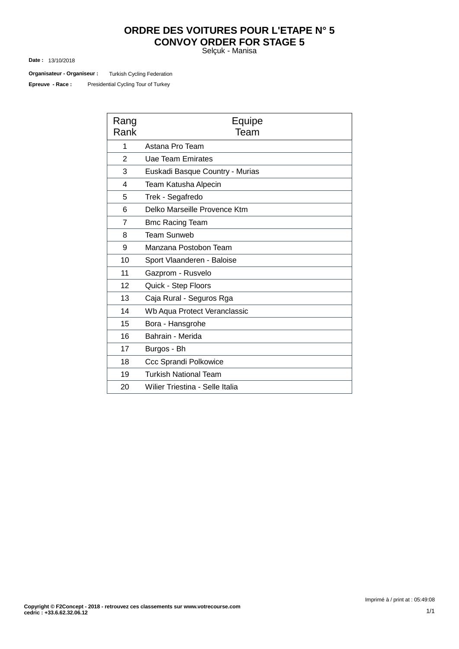# **ORDRE DES VOITURES POUR L'ETAPE N° 5 CONVOY ORDER FOR STAGE 5**

Selçuk - Manisa

13/10/2018 **Date :**

Turkish Cycling Federation **Organisateur - Organiseur :**

Presidential Cycling Tour of Turkey **Epreuve - Race :**

| Rang<br>Rank   | Equipe<br>Team                  |
|----------------|---------------------------------|
| 1              | Astana Pro Team                 |
| $\overline{2}$ | Uae Team Emirates               |
| 3              | Euskadi Basque Country - Murias |
| 4              | Team Katusha Alpecin            |
| 5              | Trek - Segafredo                |
| 6              | Delko Marseille Provence Ktm    |
| $\overline{7}$ | <b>Bmc Racing Team</b>          |
| 8              | <b>Team Sunweb</b>              |
| 9              | Manzana Postobon Team           |
| 10             | Sport Vlaanderen - Baloise      |
| 11             | Gazprom - Rusvelo               |
| 12             | Quick - Step Floors             |
| 13             | Caja Rural - Seguros Rga        |
| 14             | Wb Aqua Protect Veranclassic    |
| 15             | Bora - Hansgrohe                |
| 16             | Bahrain - Merida                |
| 17             | Burgos - Bh                     |
| 18             | <b>Ccc Sprandi Polkowice</b>    |
| 19             | <b>Turkish National Team</b>    |
| 20             | Wilier Triestina - Selle Italia |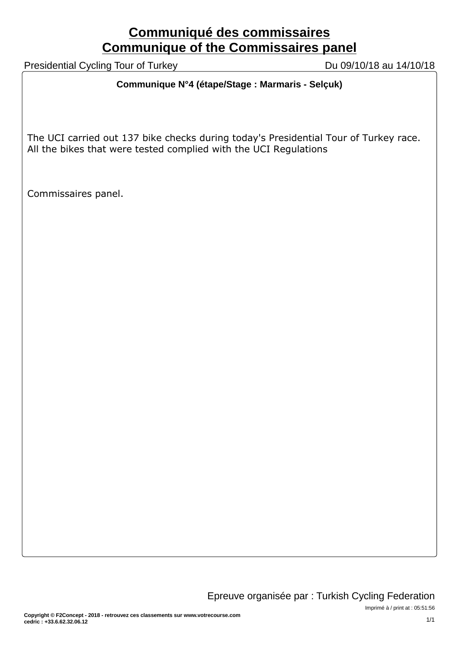# **Communiqué des commissaires Communique of the Commissaires panel**

Presidential Cycling Tour of Turkey Du 09/10/18 au 14/10/18

# **Communique N°4 (étape/Stage : Marmaris - Selçuk)**

The UCI carried out 137 bike checks during today's Presidential Tour of Turkey race. All the bikes that were tested complied with the UCI Regulations

Commissaires panel.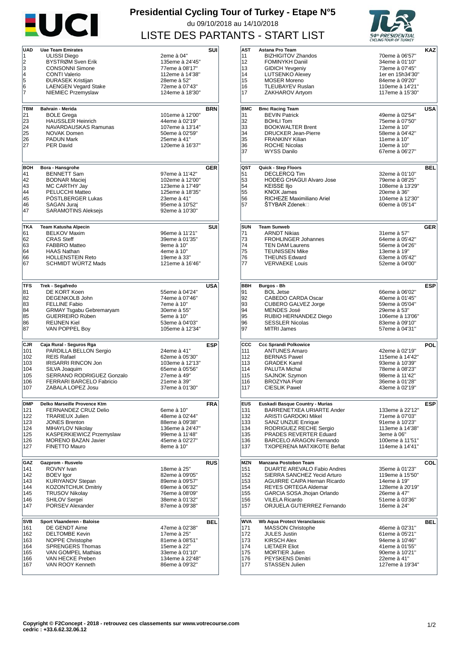

# **Presidential Cycling Tour of Turkey - Etape N°5** du 09/10/2018 au 14/10/2018 LISTE DES PARTANTS - START LIST



| <b>UAD</b><br>1<br>2<br>3 |                                      |                                   |                   |
|---------------------------|--------------------------------------|-----------------------------------|-------------------|
|                           | <b>Uae Team Emirates</b>             |                                   | SUI               |
|                           | <b>ULISSI Diego</b>                  | 2eme à 04"                        |                   |
|                           | BYSTRØM Sven Erik                    | 135eme à 24'45"                   |                   |
|                           |                                      |                                   |                   |
|                           | <b>CONSONNI Simone</b>               | 77eme à 08'17"                    |                   |
| 4                         | <b>CONTI Valerio</b>                 | 112eme à 14'38"                   |                   |
| 5                         | <b>ĐURASEK Kristijan</b>             | 28eme à 52"                       |                   |
| 6                         | <b>LAENGEN Vegard Stake</b>          | 72eme à 07'43"                    |                   |
| 7                         | NIEMIEC Przemyslaw                   | 124eme à 18'30"                   |                   |
|                           |                                      |                                   |                   |
|                           |                                      |                                   |                   |
| TBM                       | Bahrain - Merida                     |                                   | <b>BRN</b>        |
| 21                        | <b>BOLE Grega</b>                    | 101eme à 12'00"                   |                   |
| 23                        | <b>HAUSSLER Heinrich</b>             | 44eme à 02'19"                    |                   |
| 24                        | NAVARDAUSKAS Ramunas                 | 107eme à 13'14"                   |                   |
| 25                        | <b>NOVAK Domen</b>                   | 50eme à 02'59"                    |                   |
| 26                        | <b>PADUN Mark</b>                    | 25eme à 41"                       |                   |
| 27                        | <b>PER David</b>                     | 120eme à 16'37"                   |                   |
|                           |                                      |                                   |                   |
|                           |                                      |                                   |                   |
|                           |                                      |                                   |                   |
| BOH                       | Bora - Hansgrohe                     |                                   | <b>GER</b>        |
| 41                        | <b>BENNETT Sam</b>                   | 97eme à 11'42"                    |                   |
| 42                        | <b>BODNAR Maciej</b>                 | 102eme à 12'00"                   |                   |
| 43                        | MC CARTHY Jay                        | 123eme à 17'49"                   |                   |
| 44                        | PELUCCHI Matteo                      | 125eme à 18'35"                   |                   |
|                           |                                      |                                   |                   |
| 45                        | POSTLBERGER Lukas                    | 23eme à 41"                       |                   |
| 46                        | <b>SAGAN Jurai</b>                   | 95eme à 10'52"                    |                   |
| 47                        | <b>SARAMOTINS Aleksejs</b>           | 92eme à 10'30"                    |                   |
|                           |                                      |                                   |                   |
| <b>TKA</b>                | <b>Team Katusha Alpecin</b>          |                                   | SUI               |
| 61                        | <b>BELKOV Maxim</b>                  | 96eme à 11'21"                    |                   |
| 62                        | <b>CRAS Steff</b>                    | 39eme à 01'35"                    |                   |
| 63                        | <b>FABBRO Matteo</b>                 | 9eme à 10"                        |                   |
|                           |                                      |                                   |                   |
| 64                        | <b>HAAS Nathan</b>                   | 4eme à 10"                        |                   |
| 66                        | <b>HOLLENSTEIN Reto</b>              | 19eme à 33"                       |                   |
| 67                        | <b>SCHMIDT WURTZ Mads</b>            | 121eme à 16'46"                   |                   |
|                           |                                      |                                   |                   |
|                           |                                      |                                   |                   |
| TFS                       | Trek - Segafredo                     |                                   | USA               |
| 81                        | DE KORT Koen                         | 55eme à 04'24"                    |                   |
|                           |                                      |                                   |                   |
| 82                        | DEGENKOLB John                       | 74eme à 07'46"                    |                   |
| 83                        | <b>FELLINE Fabio</b>                 | 7eme à 10"                        |                   |
| 84                        | GRMAY Tsgabu Gebremaryam             | 30eme à 55"                       |                   |
| 85                        | <b>GUERREIRO Rúben</b>               | 5eme à 10"                        |                   |
| 86                        | <b>REIJNEN Kiel</b>                  | 53eme à 04'03"                    |                   |
| 87                        | VAN POPPEL Boy                       | 105eme à 12'34"                   |                   |
|                           |                                      |                                   |                   |
| CJR                       | Caja Rural - Seguros Rga             |                                   | <b>ESP</b>        |
|                           | PARDILLA BELLON Sergio               |                                   |                   |
|                           |                                      |                                   |                   |
| 101                       |                                      | 24eme à 41"                       |                   |
| 102                       | <b>REIS Rafael</b>                   | 62eme à 05'30"                    |                   |
| 103                       | <b>IRISARRI RINCON Jon</b>           | 103eme à 12'13"                   |                   |
| 104                       | SILVA Joaquim                        | 65eme à 05'56"                    |                   |
| 105                       | SERRANO RODRIGUEZ Gonzalo            | 27eme à 49"                       |                   |
| 106                       | FERRARI BARCELO Fabricio             | 21eme à 39"                       |                   |
| 107                       | ZABALA LOPEZ Josu                    | 37eme à 01'30"                    |                   |
|                           |                                      |                                   |                   |
|                           |                                      |                                   |                   |
| <b>DMP</b>                | Delko Marseille Provence Ktm         |                                   |                   |
| 121                       | FERNANDEZ CRUZ Delio                 | 6eme à 10"                        |                   |
| 122                       | <b>TRARIEUX Julien</b>               | 48eme à 02'44"                    |                   |
| 123                       | <b>JONES Brenton</b>                 | 88eme à 09'38"                    |                   |
| 124                       | MIHAYLOV Nikolay                     | 136eme à 24'47"                   |                   |
| 125                       | KASPERKIEWICZ Przemyslaw             | 99eme à 11'48"                    |                   |
| 126                       | <b>MORENO BAZAN Javier</b>           | 45eme à 02'27"                    |                   |
| 127                       | FINETTO Mauro                        | 8eme à 10"                        | FRA               |
|                           |                                      |                                   |                   |
| GAZ                       | Gazprom - Rusvelo                    |                                   |                   |
| 141                       | ROVNY Ivan                           | 18eme à 25"                       |                   |
| 142                       | <b>BOEV</b> Igor                     | 82eme à 09'05"                    |                   |
|                           |                                      |                                   |                   |
| 143                       | KURIYANOV Stepan                     | 89eme à 09'57"                    |                   |
| 144                       | <b>KOZONTCHUK Dmitriy</b>            | 69eme à 06'32"                    |                   |
| 145                       | <b>TRUSOV Nikolay</b>                | 76eme à 08'09"                    |                   |
| 146                       | <b>SHILOV Sergei</b>                 | 38eme à 01'32"                    |                   |
| 147                       | PORSEV Alexander                     | 87eme à 09'38"                    |                   |
|                           |                                      |                                   |                   |
| <b>SVB</b>                | Sport Vlaanderen - Baloise           |                                   |                   |
| 161                       | DE GENDT Aime                        | 47eme à 02'38"                    |                   |
| 162                       | <b>DELTOMBE Kevin</b>                | 17eme à 25"                       | <b>RUS</b><br>BEL |
| 163                       | <b>NOPPE Christophe</b>              | 81eme à 08'51"                    |                   |
| 164                       | <b>SPRENGERS Thomas</b>              | 15eme à 22"                       |                   |
|                           |                                      |                                   |                   |
| 165                       | VAN GOMPEL Mathias                   | 33eme à 01'10"                    |                   |
| 166<br>167                | VAN HECKE Preben<br>VAN ROOY Kenneth | 134eme à 22'48"<br>86eme à 09'32" |                   |

| AST        | Astana Pro Team                                             |                                    | KAZ        |
|------------|-------------------------------------------------------------|------------------------------------|------------|
| 11         | <b>BIZHIGITOV Zhandos</b>                                   | 70eme à 06'57"                     |            |
| 12         | <b>FOMINYKH Daniil</b><br><b>GIDICH Yevgeniy</b>            | 34eme à 01'10"                     |            |
| 13<br>14   | <b>LUTSENKO Alexev</b>                                      | 73eme à 07'45"<br>1er en 15h34'30" |            |
| 15         | <b>MOSER Moreno</b>                                         | 84eme à 09'20"                     |            |
| 16         | <b>TLEUBAYEV Ruslan</b>                                     | 110eme à 14'21"                    |            |
| 17         | ZAKHAROV Artyom                                             | 117eme à 15'30"                    |            |
|            |                                                             |                                    |            |
| <b>BMC</b> | <b>Bmc Racing Team</b>                                      |                                    | <b>USA</b> |
| 31         | <b>BEVIN Patrick</b>                                        | 49eme à 02'54"                     |            |
| 32         | <b>BOHLI Tom</b>                                            | 75eme à 07'50"                     |            |
| 33         | <b>BOOKWALTER Brent</b>                                     | 12eme à 10"                        |            |
| 34         | <b>DRUCKER Jean-Pierre</b>                                  | 58eme à 04'42"                     |            |
| 35         | <b>FRANKINY Kilian</b>                                      | 11eme à 10"                        |            |
| 36<br>37   | <b>ROCHE Nicolas</b><br>WYSS Danilo                         | 10eme à 10"<br>67eme à 06'27"      |            |
|            |                                                             |                                    |            |
|            |                                                             |                                    |            |
| QST        | Quick - Step Floors<br><b>DECLERCQ Tim</b>                  |                                    | BEL        |
| 51<br>53   | <b>HODEG CHAGUI Alvaro Jose</b>                             | 32eme à 01'10"<br>79eme à 08'25"   |            |
| 54         | <b>KEISSE Iljo</b>                                          | 108eme à 13'29"                    |            |
| 55         | <b>KNOX James</b>                                           | 20eme à 36"                        |            |
| 56         | RICHEZE Maximiliano Ariel                                   | 104eme à 12'30"                    |            |
| 57         | ŠTYBAR Zdenek⊡                                              | 60eme à 05'14"                     |            |
|            |                                                             |                                    |            |
|            |                                                             |                                    |            |
| <b>SUN</b> | <b>Team Sunweb</b>                                          |                                    | <b>GER</b> |
| 71         | <b>ARNDT Nikias</b>                                         | 31eme à 57"                        |            |
| 73<br>74   | <b>FROHLINGER Johannes</b><br><b>TEN DAM Laurens</b>        | 64eme à 05'42"<br>56eme à 04'26"   |            |
| 75         | <b>TEUNISSEN Mike</b>                                       | 13eme à 19"                        |            |
| 76         | <b>THEUNS Edward</b>                                        | 63eme à 05'42"                     |            |
| 77         | <b>VERVAEKE Louis</b>                                       | 52eme à 04'00"                     |            |
|            |                                                             |                                    |            |
|            |                                                             |                                    |            |
| BBH        | <b>Burgos - Bh</b>                                          |                                    | ESP        |
| 91         | <b>BOL Jetse</b>                                            | 66eme à 06'02"                     |            |
| 92         | CABEDO CARDA Oscar                                          | 40eme à 01'45"                     |            |
| 93         | <b>CUBERO GALVEZ Jorge</b>                                  | 59eme à 05'04"                     |            |
| 94         | MENDES José                                                 | 29eme à 53"                        |            |
| 95         | RUBIO HERNANDEZ Diego                                       | 106eme à 13'06"                    |            |
| 96<br>97   | <b>SESSLER Nicolas</b><br>MITRI James                       | 83eme à 09'10"<br>57eme à 04'31"   |            |
|            |                                                             |                                    |            |
| CCC        | <b>Ccc Sprandi Polkowice</b>                                |                                    | POL        |
| 111        | <b>ANTUNES Amaro</b>                                        | 42eme à 02'19"                     |            |
| 112        | <b>BERNAS Pawel</b>                                         | 115eme à 14'42"                    |            |
| 113        | <b>GRADEK Kamil</b>                                         | 93eme à 10'39"                     |            |
| 114        | PALUTA Michal                                               | 78eme à 08'23"                     |            |
| 115        | <b>SAJNOK Szymon</b>                                        | 98eme à 11'42"                     |            |
| 116        | <b>BROZYNA Piotr</b>                                        | 36eme à 01'28"                     |            |
| 117        | <b>CIESLIK Pawel</b>                                        | 43eme à 02'19"                     |            |
|            |                                                             |                                    |            |
| <b>EUS</b> | Euskadi Basque Country - Murias                             |                                    | ESP        |
| 131<br>132 | BARRENETXEA URIARTE Ander<br>ARISTI GARDOKI Mikel           | 133eme à 22'12"<br>71eme à 07'03"  |            |
| 133        | <b>SANZ UNZUE Enrique</b>                                   | 91eme à 10'23"                     |            |
| 134        | RODRIGUEZ RECHE Sergio                                      | 113eme à 14'38"                    |            |
| 135        | PRADES REVERTER Eduard                                      | 3eme à 06"                         |            |
| 136        | <b>BARCELO ARAGON Fernando</b>                              | 100eme à 11'51"                    |            |
| 137        | <b>TXOPERENA MATXIKOTE Beñat</b>                            | 114eme à 14'41"                    |            |
|            |                                                             |                                    |            |
| MZN        | Manzana Postobon Team                                       |                                    | COL        |
| 151        | DUARTE AREVALO Fabio Andres                                 | 35eme à 01'23"                     |            |
| 152        | SIERRA SANCHEZ Yecid Arturo<br>AGUIRRE CAIPA Hernan Ricardo | 119eme à 15'50"<br>14eme à 19"     |            |
| 153<br>154 | <b>REYES ORTEGA Aldemar</b>                                 | 128eme à 20'19"                    |            |
| 155        | GARCIA SOSA Jhojan Orlando                                  | 26eme à 47"                        |            |
| 156        | <b>VILELA Ricardo</b>                                       | 51eme à 03'36"                     |            |
| 157        | ORJUELA GUTIERREZ Fernando                                  | 16eme à 24"                        |            |
|            |                                                             |                                    |            |
| <b>WVA</b> | Wb Aqua Protect Veranclassic                                |                                    | BEL        |
| 171        | <b>MASSON Christophe</b>                                    | 46eme à 02'31"                     |            |
| 172        | <b>JULES Justin</b>                                         | 61eme à 05'21"                     |            |
| 173<br>174 | <b>KIRSCH Alex</b>                                          | 94eme à 10'46"                     |            |
| 175        | <b>LIETAER Eliot</b><br><b>MORTIER Julien</b>               | 41eme à 01'55"<br>90eme à 10'21"   |            |
| 176        | PEYSKENS Dimitri                                            | 22eme à 41"                        |            |
| 177        | <b>STASSEN Julien</b>                                       | 127eme à 19'34"                    |            |
|            |                                                             |                                    |            |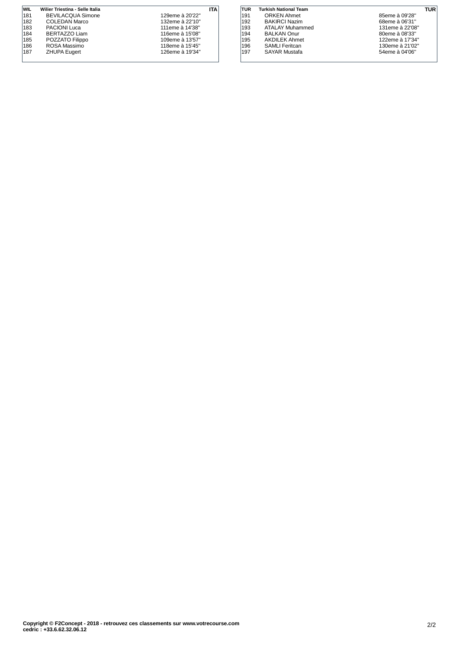| <b>WIL</b> | Wilier Triestina - Selle Italia |                 | ITA |
|------------|---------------------------------|-----------------|-----|
| 181        | <b>BEVILACQUA Simone</b>        | 129eme à 20'22" |     |
| 182        | <b>COLEDAN Marco</b>            | 132eme à 22'10" |     |
| 183        | <b>PACIONI Luca</b>             | 111eme à 14'38" |     |
| 184        | BERTAZZO Liam                   | 116eme à 15'08" |     |
| 185        | POZZATO Filippo                 | 109eme à 13'57" |     |
| 186        | ROSA Massimo                    | 118eme à 15'45" |     |
| 187        | <b>ZHUPA Eugert</b>             | 126eme à 19'34" |     |
|            |                                 |                 |     |

| TUR | <b>Turkish National Team</b> | TUR             |  |
|-----|------------------------------|-----------------|--|
| 191 | <b>ORKEN Ahmet</b>           | 85eme à 09'28"  |  |
| 192 | <b>BAKIRCI Nazim</b>         | 68eme à 06'31"  |  |
| 193 | ATALAY Muhammed              | 131eme à 22'08" |  |
| 194 | <b>BALKAN Onur</b>           | 80eme à 08'33"  |  |
| 195 | <b>AKDILEK Ahmet</b>         | 122eme à 17'34" |  |
| 196 | <b>SAMLI</b> Feritcan        | 130eme à 21'02" |  |
| 197 | <b>SAYAR Mustafa</b>         | 54eme à 04'06"  |  |
|     |                              |                 |  |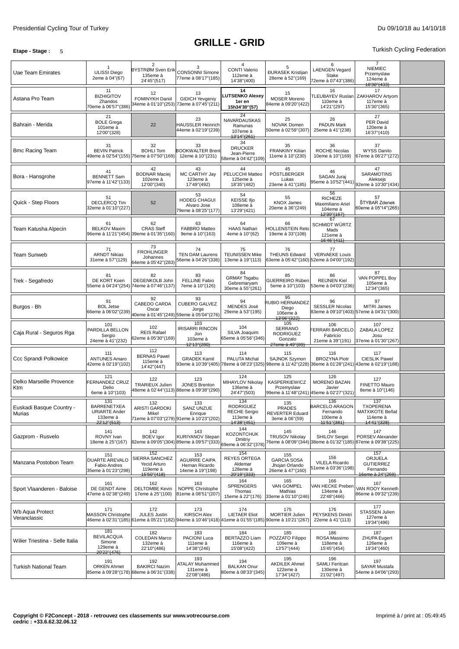# **GRILLE - GRID**

## **Etape - Stage** : 5 Turkish Cycling Federation

| Uae Team Emirates                  | ULISSI Diego<br>2eme à 04"(67)                                               | $\overline{2}$<br>BYSTRØM Sven Erik<br>135eme à<br>24'45"(517)         | 3<br><b>CONSONNI Simone</b><br>77eme à 08'17"(185)                                                                               | 4<br><b>CONTI Valerio</b><br>112eme à<br>14'38"(400)                      | 5<br><b>ĐURASEK Kristijan</b><br>28eme à 52"(169)                       | 6<br><b>LAENGEN Vegard</b><br>Stake<br>72eme à 07'43"(386)                      | 7<br><b>NIEMIEC</b><br>Przemyslaw<br>124eme à<br>18'30"(433)          |  |
|------------------------------------|------------------------------------------------------------------------------|------------------------------------------------------------------------|----------------------------------------------------------------------------------------------------------------------------------|---------------------------------------------------------------------------|-------------------------------------------------------------------------|---------------------------------------------------------------------------------|-----------------------------------------------------------------------|--|
| Astana Pro Team                    | 11<br><b>BIZHIGITOV</b><br>Zhandos<br>70eme à 06'57"(386)                    | 12<br>FOMINYKH Daniil<br>34eme à 01'10"(253)                           | 13<br><b>GIDICH Yevgeniy</b><br>73eme à 07'45"(211)                                                                              | 14<br><b>UTSENKO Alexey</b><br>1er en<br>15h34'30"(57)                    | 15<br><b>MOSER Moreno</b><br>84eme à 09'20"(422)                        | 16<br>110eme à<br>14'21"(297)                                                   | 17<br>TLEUBAYEV Ruslan   ZAKHAROV Artyom<br>117eme à<br>15'30"(365)   |  |
| Bahrain - Merida                   | 21<br><b>BOLE Grega</b><br>101eme à<br>12'00"(328)                           | 22                                                                     | 23<br><b>HAUSSLER Heinrich</b><br>44eme à 02'19"(239)                                                                            | 24<br>NAVARDAUSKAS<br>Ramunas<br>107eme à<br>13'14"(261)                  | 25<br>NOVAK Domen<br>50eme à 02'59"(307)                                | 26<br><b>PADUN Mark</b><br>25eme à 41"(238)                                     | 27<br>PER David<br>120eme à<br>16'37"(410)                            |  |
| <b>Bmc Racing Team</b>             | 31<br><b>BEVIN Patrick</b>                                                   | 32<br><b>BOHLI Tom</b><br>49eme à 02'54''(155) 75eme à 07'50''(169)    | 33<br><b>BOOKWALTER Brent</b><br>12eme à 10"(231)                                                                                | 34<br><b>DRUCKER</b><br>Jean-Pierre<br>58eme à 04'42"(109)                | 35<br><b>FRANKINY Kilian</b><br>11eme à 10"(230)                        | 36<br><b>ROCHE Nicolas</b><br>10eme à 10"(169)                                  | 37<br><b>WYSS Danilo</b><br>67eme à 06'27"(272)                       |  |
| Bora - Hansgrohe                   | 41<br><b>BENNETT Sam</b><br>97eme à 11'42"(133)                              | 42<br><b>BODNAR Maciej</b><br>102eme à<br>12'00"(340)                  | 43<br>MC CARTHY Jay<br>123eme à<br>17'49"(492)                                                                                   | 44<br>PELUCCHI Matteo<br>125eme à<br>18'35" (482)                         | 45<br>PÖSTLBERGER<br>Lukas<br>23eme à 41"(185)                          | 46<br>SAGAN Juraj<br>95eme à 10'52"(441)                                        | 47<br><b>SARAMOTINS</b><br>Aleksejs<br>92eme à 10'30"(434)            |  |
| Quick - Step Floors                | 51<br><b>DECLERCQ Tim</b><br>32eme à 01'10"(227)                             | 52                                                                     | 53<br>HODEG CHAGUI<br>Alvaro Jose<br>79eme à 08'25"(177)                                                                         | 54<br><b>KEISSE IIjo</b><br>108eme à<br>13'29"(421)                       | 55<br><b>KNOX James</b><br>20eme à 36"(249)                             | 56<br><b>RICHEZE</b><br>Maximiliano Ariel<br>104eme à<br>12'30"(167)            | 57<br>ŠTYBAR Zdenek<br>60eme à 05'14"(265)                            |  |
| Team Katusha Alpecin               | 61<br><b>BELKOV Maxim</b>                                                    | 62<br><b>CRAS Steff</b><br>96eme à 11'21''(454) 39eme à 01'35''(160)   | 63<br>FABBRO Matteo<br>9eme à 10"(163)                                                                                           | 64<br><b>HAAS Nathan</b><br>4eme à 10"(62)                                | 66<br><b>HOLLENSTEIN Reto</b><br>19eme à 33"(108)                       | 67<br>SCHMIDT WÜRTZ<br>Mads<br>121eme à<br>16'46"(411)                          |                                                                       |  |
| <b>Team Sunweb</b>                 | 71<br><b>ARNDT Nikias</b><br>31eme à 57"(129)                                | 73<br><b>FROHLINGER</b><br>Johannes<br>64eme à 05'42"(283)             | 74<br><b>TEN DAM Laurens</b><br>56eme à 04'26"(336)                                                                              | 75<br><b>TEUNISSEN Mike</b><br>13eme à 19"(113)                           | 76<br><b>THEUNS Edward</b>                                              | 77<br><b>VERVAEKE Louis</b><br>33eme à 05'42"(160) 52eme à 04'00"(192)          |                                                                       |  |
| Trek - Segafredo                   | 81<br>DE KORT Koen                                                           | 82<br>DEGENKOLB John<br>55eme à 04'24"(254) 74eme à 07'46"(137)        | 83<br><b>FELLINE Fabio</b><br>7eme à 10"(126)                                                                                    | 84<br><b>GRMAY Tsgabu</b><br>Gebremaryam<br>30eme à 55"(261)              | 85<br>GUERREIRO Rúben<br>5eme à 10"(103)                                | 86<br><b>REIJNEN Kiel</b><br>53eme à 04'03"(236)                                | 87<br>VAN POPPEL Boy<br>105eme à<br>12'34"(365)                       |  |
| Burgos - Bh                        | 91<br><b>BOL Jetse</b><br>66eme à 06'02"(239)                                | 92<br>CABEDO CARDA<br>Oscar                                            | 93<br><b>CUBERO GALVEZ</b><br>Jorge<br>40eme à 01'45"(249) 59eme à 05'04"(276)                                                   | 94<br>MENDES José<br>29eme à 53"(195)                                     | 95<br><b>RUBIO HERNANDEZ</b><br>Diego<br>106eme à<br>13'06"(322)        | 96<br><b>SESSLER Nicolas</b>                                                    | 97<br>MITRI James<br>83eme à 09'10"(403) 57eme à 04'31"(300)          |  |
| Caja Rural - Seguros Rga           | 101<br>PARDILLA BELLON<br>Sergio<br>24eme à 41"(232)                         | 102<br><b>REIS Rafael</b><br>62eme à 05'30"(169)                       | 103<br><b>IRISARRI RINCON</b><br>Jon<br>103eme à<br>42'13"(280)                                                                  | 104<br>SILVA Joaquim<br>65eme à 05'56"(346)                               | 105<br><b>SERRANO</b><br><b>RODRIGUEZ</b><br>Gonzalo<br>27eme à 49"(89) | 106<br><b>ERRARI BARCELO</b><br>Fabricio<br>21eme à 39"(191)                    | 107<br>ZABALA LOPEZ<br>Josu<br>37eme à 01'30"(267)                    |  |
| Ccc Sprandi Polkowice              | 111<br><b>ANTUNES Amaro</b><br>42eme à 02'19"(102)                           | 112<br><b>BERNAS Pawel</b><br>115eme à<br>14'42"(447)                  | 113<br><b>GRADEK Kamil</b>                                                                                                       | 114<br>PALUTA Michal<br>93eme à 10'39"(405) 78eme à 08'23"(325)           | 115<br><b>SAJNOK Szymon</b><br>98eme à 11'42"(228)                      | 116<br><b>BROZYNA Piotr</b><br>36eme à 01'28"(241)                              | 117<br><b>CIESLIK Pawel</b><br>43eme à 02'19"(188)                    |  |
| Delko Marseille Provence<br>Ktm    | 121<br>FERNANDEZ CRUZ<br>Delio<br>6eme à 10"(103)                            | 122<br><b>TRARIEUX Julien</b>                                          | 123<br><b>JONES Brenton</b><br>48eme à 02'44"(113) 88eme à 09'38"(290)                                                           | 124<br>MIHAYLOV Nikolay<br>136eme à<br>24'47" (503)                       | 125<br><b>KASPERKIEWICZ</b><br>Przemyslaw                               | 126<br><b>MORENO BAZAN</b><br>Javier<br>99eme à 11'48"(241) 45eme à 02'27"(321) | 127<br>FINETTO Mauro<br>8eme à 10"(146)                               |  |
| Euskadi Basque Country -<br>Murias | 131<br><b>BARRENETXEA</b><br><b>URIARTE Ander</b><br>133eme à<br>22'12"(513) | 132<br>ARISTI GARDOKI<br>Mikel                                         | 133<br><b>SANZ UNZUE</b><br>Enrique<br>71eme à 07'03"(279) 91eme à 10'23"(202)                                                   | 134<br><b>RODRIGUEZ</b><br><b>RECHE Sergio</b><br>113eme à<br>14'38"(451) | 135<br><b>PRADES</b><br>REVERTER Eduard<br>3eme à 06"(59)               | 130<br><b>BARCELO ARAGON</b><br>Fernando<br>100eme à<br>41'51"(381)             | 137<br><b>TXOPERENA</b><br>MATXIKOTE Beñat<br>114eme à<br>14'41"(328) |  |
| Gazprom - Rusvelo                  | 141<br>ROVNY Ivan<br>18eme à 25"(167)                                        | 142<br><b>BOEV</b> Igor                                                | 143<br><b>KURIYANOV Stepan</b><br>82eme à 09'05"(304) 89eme à 09'57"(333)                                                        | 144<br>KOZONTCHUK<br>Dmitriy<br>69eme à 06'32"(378)                       | 145<br><b>TRUSOV Nikolay</b>                                            | 146<br>SHILOV Sergei<br>76eme à 08'09''(344) 38eme à 01'32''(185)               | 147<br>PORSEV Alexander<br>87eme à 09'38"(225)                        |  |
| Manzana Postobon Team              | 151<br>DUARTE AREVALO<br>Fabio Andres<br>35eme à 01'23"(298)                 | 152<br>SIERRA SANCHEZ<br>Yecid Arturo<br>119eme à<br>15'50"(418)       | 153<br><b>AGUIRRE CAIPA</b><br>Hernan Ricardo<br>14eme à 19"(198)                                                                | 154<br><b>REYES ORTEGA</b><br>Aldemar<br>128eme à<br>20'19"(333)          | 155<br><b>GARCIA SOSA</b><br>Jhojan Orlando<br>26eme à 47"(160)         | 156<br><b>VILELA Ricardo</b><br>51eme à 03'36"(198)                             | 157<br>ORJUELA<br><b>GUTIERREZ</b><br>Fernando<br>16eme à 24"(269)    |  |
| Sport Vlaanderen - Baloise         | 161<br>DE GENDT Aime<br>47eme à 02'38"(249)                                  | 162<br><b>DELTOMBE Kevin</b><br>17eme à 25"(100)                       | 163<br>NOPPE Christophe<br>81eme à 08'51"(207)                                                                                   | 164<br><b>SPRENGERS</b><br>Thomas<br>15eme à 22"(176)                     | 165<br>VAN GOMPEL<br>Mathias<br>33eme à 01'10"(246)                     | 166<br>VAN HECKE Preben<br>134eme à<br>22'48" (466)                             | 167<br>VAN ROOY Kenneth<br>86eme à 09'32"(239)                        |  |
| Wb Aqua Protect<br>Veranclassic    | 171<br><b>MASSON Christophe</b>                                              | 172<br><b>JULES Justin</b>                                             | 173<br><b>KIRSCH Alex</b><br>46eme à 02'31"(185) 61eme à 05'21"(182) 94eme à 10'46"(418) 41eme à 01'55"(185) 90eme à 10'21"(267) | 174<br><b>LIETAER Eliot</b>                                               | 175<br>MORTIER Julien                                                   | 176<br><b>PEYSKENS Dimitri</b><br>22eme à 41"(113)                              | 177<br>STASSEN Julien<br>127eme à<br>19'34"(496)                      |  |
| Wilier Triestina - Selle Italia    | 181<br><b>BEVILACQUA</b><br>Simone<br>129eme à<br>20'22"(476)                | 182<br>COLEDAN Marco<br>132eme à<br>22'10"(486)                        | 183<br>PACIONI Luca<br>111eme à<br>14'38"(246)                                                                                   | 184<br><b>BERTAZZO Liam</b><br>116eme à<br>15'08"(422)                    | 185<br>POZZATO Filippo<br>109eme à<br>13'57" (444)                      | 186<br>ROSA Massimo<br>118eme à<br>15'45" (454)                                 | 187<br><b>ZHUPA Eugert</b><br>126eme à<br>19'34"(460)                 |  |
| <b>Turkish National Team</b>       | 191<br><b>ORKEN Ahmet</b>                                                    | 192<br><b>BAKIRCI Nazim</b><br>85eme à 09'28"(178) 68eme à 06'31"(338) | 193<br><b>ATALAY Muhammed</b><br>131eme à<br>22'08"(486)                                                                         | 194<br><b>BALKAN Onur</b><br>80eme à 08'33"(345)                          | 195<br><b>AKDILEK Ahmet</b><br>122eme à<br>17'34"(427)                  | 196<br>SAMLI Feritcan<br>130eme à<br>21'02"(497)                                | 197<br><b>SAYAR Mustafa</b><br>54eme à 04'06"(293)                    |  |